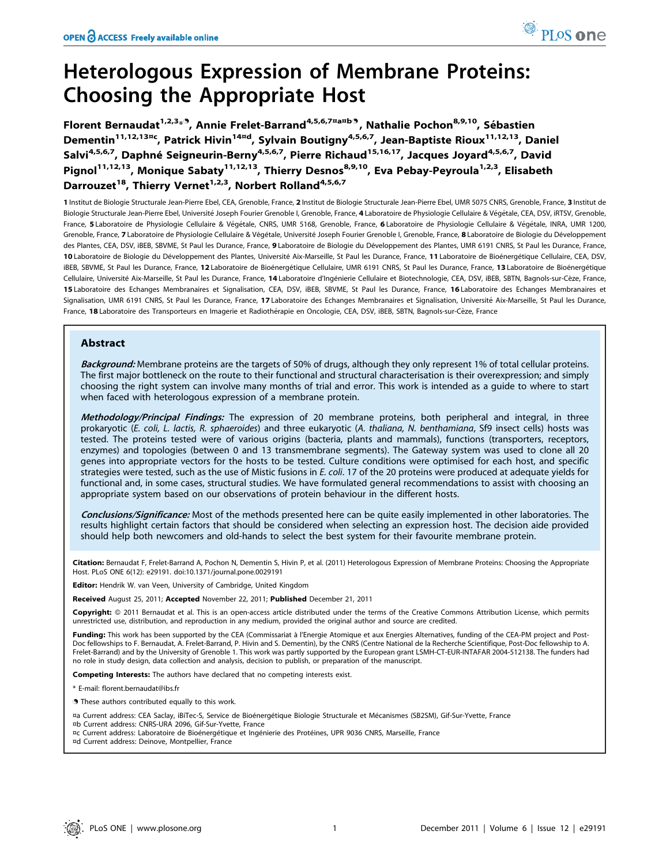# Heterologous Expression of Membrane Proteins: Choosing the Appropriate Host

Florent Bernaudat<sup>1,2,3</sup>\*<sup>9</sup>, Annie Frelet-Barrand<sup>4,5,6,7¤a¤b9</sup>, Nathalie Pochon<sup>8,9,10</sup>, Sébastien Dementin<sup>11,12,13¤c</sup>, Patrick Hivin<sup>14¤d</sup>, Sylvain Boutigny<sup>4,5,6,7</sup>, Jean-Baptiste Rioux<sup>11,12,13</sup>, Daniel Salvi<sup>4,5,6,7</sup>, Daphné Seigneurin-Berny<sup>4,5,6,7</sup>, Pierre Richaud<sup>15,16,17</sup>, Jacques Joyard<sup>4,5,6,7</sup>, David Pignol<sup>11,12,13</sup>, Monique Sabaty<sup>11,12,13</sup>, Thierry Desnos<sup>8,9,10</sup>, Eva Pebay-Peyroula<sup>1,2,3</sup>, Elisabeth Darrouzet<sup>18</sup>, Thierry Vernet<sup>1,2,3</sup>, Norbert Rolland<sup>4,5,6,7</sup>

1 Institut de Biologie Structurale Jean-Pierre Ebel, CEA, Grenoble, France, 2 Institut de Biologie Structurale Jean-Pierre Ebel, UMR 5075 CNRS, Grenoble, France, 3 Institut de Biologie Structurale Jean-Pierre Ebel, Université Joseph Fourier Grenoble I, Grenoble, France, 4 Laboratoire de Physiologie Cellulaire & Végétale, CEA, DSV, iRTSV, Grenoble, France, 5 Laboratoire de Physiologie Cellulaire & Végétale, CNRS, UMR 5168, Grenoble, France, 6 Laboratoire de Physiologie Cellulaire & Végétale, INRA, UMR 1200, Grenoble, France, 7 Laboratoire de Physiologie Cellulaire & Végétale, Université Joseph Fourier Grenoble I, Grenoble, France, 8 Laboratoire de Biologie du Développement des Plantes, CEA, DSV, iBEB, SBVME, St Paul les Durance, France, 9 Laboratoire de Biologie du Développement des Plantes, UMR 6191 CNRS, St Paul les Durance, France, 10 Laboratoire de Biologie du Développement des Plantes, Université Aix-Marseille, St Paul les Durance, France, 11 Laboratoire de Bioénergétique Cellulaire, CEA, DSV, iBEB, SBVME, St Paul les Durance, France, 12 Laboratoire de Bioénergétique Cellulaire, UMR 6191 CNRS, St Paul les Durance, France, 13 Laboratoire de Bioénergétique Cellulaire, Université Aix-Marseille, St Paul les Durance, France, 14 Laboratoire d'Ingénierie Cellulaire et Biotechnologie, CEA, DSV, iBEB, SBTN, Bagnols-sur-Cèze, France, 15 Laboratoire des Echanges Membranaires et Signalisation, CEA, DSV, iBEB, SBVME, St Paul les Durance, France, 16 Laboratoire des Echanges Membranaires et Signalisation, UMR 6191 CNRS, St Paul les Durance, France, 17 Laboratoire des Echanges Membranaires et Signalisation, Université Aix-Marseille, St Paul les Durance, France, 18 Laboratoire des Transporteurs en Imagerie et Radiothérapie en Oncologie, CEA, DSV, iBEB, SBTN, Bagnols-sur-Cèze, France

# Abstract

Background: Membrane proteins are the targets of 50% of drugs, although they only represent 1% of total cellular proteins. The first major bottleneck on the route to their functional and structural characterisation is their overexpression; and simply choosing the right system can involve many months of trial and error. This work is intended as a guide to where to start when faced with heterologous expression of a membrane protein.

Methodology/Principal Findings: The expression of 20 membrane proteins, both peripheral and integral, in three prokaryotic (E. coli, L. lactis, R. sphaeroides) and three eukaryotic (A. thaliana, N. benthamiana, Sf9 insect cells) hosts was tested. The proteins tested were of various origins (bacteria, plants and mammals), functions (transporters, receptors, enzymes) and topologies (between 0 and 13 transmembrane segments). The Gateway system was used to clone all 20 genes into appropriate vectors for the hosts to be tested. Culture conditions were optimised for each host, and specific strategies were tested, such as the use of Mistic fusions in E. coli. 17 of the 20 proteins were produced at adequate yields for functional and, in some cases, structural studies. We have formulated general recommendations to assist with choosing an appropriate system based on our observations of protein behaviour in the different hosts.

Conclusions/Significance: Most of the methods presented here can be quite easily implemented in other laboratories. The results highlight certain factors that should be considered when selecting an expression host. The decision aide provided should help both newcomers and old-hands to select the best system for their favourite membrane protein.

Citation: Bernaudat F, Frelet-Barrand A, Pochon N, Dementin S, Hivin P, et al. (2011) Heterologous Expression of Membrane Proteins: Choosing the Appropriate Host. PLoS ONE 6(12): e29191. doi:10.1371/journal.pone.0029191

Editor: Hendrik W. van Veen, University of Cambridge, United Kingdom

Received August 25, 2011; Accepted November 22, 2011; Published December 21, 2011

Copyright: © 2011 Bernaudat et al. This is an open-access article distributed under the terms of the Creative Commons Attribution License, which permits unrestricted use, distribution, and reproduction in any medium, provided the original author and source are credited.

Funding: This work has been supported by the CEA (Commissariat à l'Energie Atomique et aux Energies Alternatives, funding of the CEA-PM project and Post-Doc fellowships to F. Bernaudat, A. Frelet-Barrand, P. Hivin and S. Dementin), by the CNRS (Centre National de la Recherche Scientifique, Post-Doc fellowship to A. Frelet-Barrand) and by the University of Grenoble 1. This work was partly supported by the European grant LSMH-CT-EUR-INTAFAR 2004-512138. The funders had no role in study design, data collection and analysis, decision to publish, or preparation of the manuscript.

Competing Interests: The authors have declared that no competing interests exist.

- \* E-mail: florent.bernaudat@ibs.fr
- . These authors contributed equally to this work.
- ¤a Current address: CEA Saclay, iBiTec-S, Service de Bioénergétique Biologie Structurale et Mécanismes (SB2SM), Gif-Sur-Yvette, France
- ¤b Current address: CNRS-URA 2096, Gif-Sur-Yvette, France
- ¤c Current address: Laboratoire de Bioénergétique et Ingénierie des Protéines, UPR 9036 CNRS, Marseille, France
- ¤d Current address: Deinove, Montpellier, France

 $PLOS$  one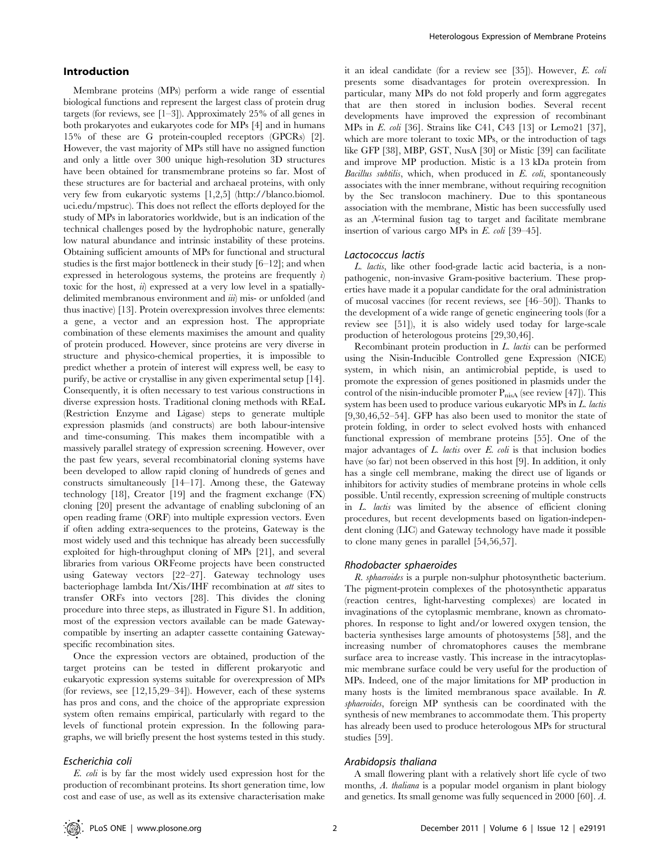# Introduction

Membrane proteins (MPs) perform a wide range of essential biological functions and represent the largest class of protein drug targets (for reviews, see [1–3]). Approximately 25% of all genes in both prokaryotes and eukaryotes code for MPs [4] and in humans 15% of these are G protein-coupled receptors (GPCRs) [2]. However, the vast majority of MPs still have no assigned function and only a little over 300 unique high-resolution 3D structures have been obtained for transmembrane proteins so far. Most of these structures are for bacterial and archaeal proteins, with only very few from eukaryotic systems [1,2,5] (http://blanco.biomol. uci.edu/mpstruc). This does not reflect the efforts deployed for the study of MPs in laboratories worldwide, but is an indication of the technical challenges posed by the hydrophobic nature, generally low natural abundance and intrinsic instability of these proteins. Obtaining sufficient amounts of MPs for functional and structural studies is the first major bottleneck in their study [6–12]; and when expressed in heterologous systems, the proteins are frequently  $i$ toxic for the host,  $\ddot{u}$ ) expressed at a very low level in a spatiallydelimited membranous environment and  $\dddot{u}$ ) mis- or unfolded (and thus inactive) [13]. Protein overexpression involves three elements: a gene, a vector and an expression host. The appropriate combination of these elements maximises the amount and quality of protein produced. However, since proteins are very diverse in structure and physico-chemical properties, it is impossible to predict whether a protein of interest will express well, be easy to purify, be active or crystallise in any given experimental setup [14]. Consequently, it is often necessary to test various constructions in diverse expression hosts. Traditional cloning methods with REaL (Restriction Enzyme and Ligase) steps to generate multiple expression plasmids (and constructs) are both labour-intensive and time-consuming. This makes them incompatible with a massively parallel strategy of expression screening. However, over the past few years, several recombinatorial cloning systems have been developed to allow rapid cloning of hundreds of genes and constructs simultaneously [14–17]. Among these, the Gateway technology [18], Creator [19] and the fragment exchange (FX) cloning [20] present the advantage of enabling subcloning of an open reading frame (ORF) into multiple expression vectors. Even if often adding extra-sequences to the proteins, Gateway is the most widely used and this technique has already been successfully exploited for high-throughput cloning of MPs [21], and several libraries from various ORFeome projects have been constructed using Gateway vectors [22–27]. Gateway technology uses bacteriophage lambda Int/Xis/IHF recombination at att sites to transfer ORFs into vectors [28]. This divides the cloning procedure into three steps, as illustrated in Figure S1. In addition, most of the expression vectors available can be made Gatewaycompatible by inserting an adapter cassette containing Gatewayspecific recombination sites.

Once the expression vectors are obtained, production of the target proteins can be tested in different prokaryotic and eukaryotic expression systems suitable for overexpression of MPs (for reviews, see [12,15,29–34]). However, each of these systems has pros and cons, and the choice of the appropriate expression system often remains empirical, particularly with regard to the levels of functional protein expression. In the following paragraphs, we will briefly present the host systems tested in this study.

#### Escherichia coli

E. coli is by far the most widely used expression host for the production of recombinant proteins. Its short generation time, low cost and ease of use, as well as its extensive characterisation make

it an ideal candidate (for a review see [35]). However, E. coli presents some disadvantages for protein overexpression. In particular, many MPs do not fold properly and form aggregates that are then stored in inclusion bodies. Several recent developments have improved the expression of recombinant MPs in E. coli [36]. Strains like C41, C43 [13] or Lemo21 [37], which are more tolerant to toxic MPs, or the introduction of tags like GFP [38], MBP, GST, NusA [30] or Mistic [39] can facilitate and improve MP production. Mistic is a 13 kDa protein from Bacillus subtilis, which, when produced in  $E$ . coli, spontaneously associates with the inner membrane, without requiring recognition by the Sec translocon machinery. Due to this spontaneous association with the membrane, Mistic has been successfully used as an N-terminal fusion tag to target and facilitate membrane insertion of various cargo MPs in E. coli [39–45].

### Lactococcus lactis

L. lactis, like other food-grade lactic acid bacteria, is a nonpathogenic, non-invasive Gram-positive bacterium. These properties have made it a popular candidate for the oral administration of mucosal vaccines (for recent reviews, see [46–50]). Thanks to the development of a wide range of genetic engineering tools (for a review see [51]), it is also widely used today for large-scale production of heterologous proteins [29,30,46].

Recombinant protein production in L. lactis can be performed using the Nisin-Inducible Controlled gene Expression (NICE) system, in which nisin, an antimicrobial peptide, is used to promote the expression of genes positioned in plasmids under the control of the nisin-inducible promoter  $P_{\text{nisA}}$  (see review [47]). This system has been used to produce various eukaryotic MPs in L. lactis [9,30,46,52–54]. GFP has also been used to monitor the state of protein folding, in order to select evolved hosts with enhanced functional expression of membrane proteins [55]. One of the major advantages of  $L$ . *lactis* over  $E$ . *coli* is that inclusion bodies have (so far) not been observed in this host [9]. In addition, it only has a single cell membrane, making the direct use of ligands or inhibitors for activity studies of membrane proteins in whole cells possible. Until recently, expression screening of multiple constructs in L. lactis was limited by the absence of efficient cloning procedures, but recent developments based on ligation-independent cloning (LIC) and Gateway technology have made it possible to clone many genes in parallel [54,56,57].

#### Rhodobacter sphaeroides

R. sphaeroides is a purple non-sulphur photosynthetic bacterium. The pigment-protein complexes of the photosynthetic apparatus (reaction centres, light-harvesting complexes) are located in invaginations of the cytoplasmic membrane, known as chromatophores. In response to light and/or lowered oxygen tension, the bacteria synthesises large amounts of photosystems [58], and the increasing number of chromatophores causes the membrane surface area to increase vastly. This increase in the intracytoplasmic membrane surface could be very useful for the production of MPs. Indeed, one of the major limitations for MP production in many hosts is the limited membranous space available. In R. sphaeroides, foreign MP synthesis can be coordinated with the synthesis of new membranes to accommodate them. This property has already been used to produce heterologous MPs for structural studies [59].

# Arabidopsis thaliana

A small flowering plant with a relatively short life cycle of two months, A. thaliana is a popular model organism in plant biology and genetics. Its small genome was fully sequenced in 2000 [60]. A.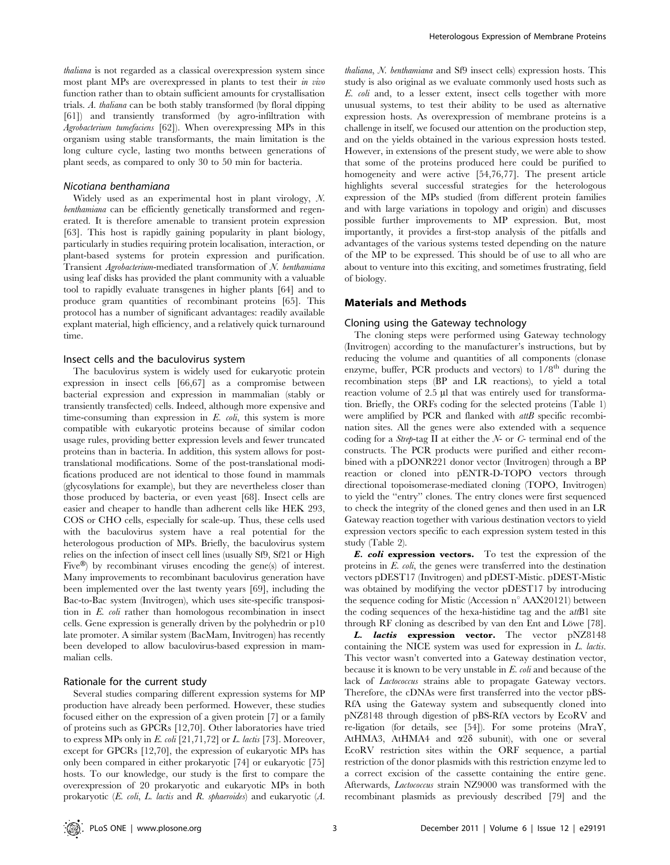thaliana is not regarded as a classical overexpression system since most plant MPs are overexpressed in plants to test their *in vivo* function rather than to obtain sufficient amounts for crystallisation trials. A. thaliana can be both stably transformed (by floral dipping [61]) and transiently transformed (by agro-infiltration with Agrobacterium tumefaciens [62]). When overexpressing MPs in this organism using stable transformants, the main limitation is the long culture cycle, lasting two months between generations of plant seeds, as compared to only 30 to 50 min for bacteria.

#### Nicotiana benthamiana

Widely used as an experimental host in plant virology, N. benthamiana can be efficiently genetically transformed and regenerated. It is therefore amenable to transient protein expression [63]. This host is rapidly gaining popularity in plant biology, particularly in studies requiring protein localisation, interaction, or plant-based systems for protein expression and purification. Transient Agrobacterium-mediated transformation of N. benthamiana using leaf disks has provided the plant community with a valuable tool to rapidly evaluate transgenes in higher plants [64] and to produce gram quantities of recombinant proteins [65]. This protocol has a number of significant advantages: readily available explant material, high efficiency, and a relatively quick turnaround time.

#### Insect cells and the baculovirus system

The baculovirus system is widely used for eukaryotic protein expression in insect cells [66,67] as a compromise between bacterial expression and expression in mammalian (stably or transiently transfected) cells. Indeed, although more expensive and time-consuming than expression in  $E$ . *coli*, this system is more compatible with eukaryotic proteins because of similar codon usage rules, providing better expression levels and fewer truncated proteins than in bacteria. In addition, this system allows for posttranslational modifications. Some of the post-translational modifications produced are not identical to those found in mammals (glycosylations for example), but they are nevertheless closer than those produced by bacteria, or even yeast [68]. Insect cells are easier and cheaper to handle than adherent cells like HEK 293, COS or CHO cells, especially for scale-up. Thus, these cells used with the baculovirus system have a real potential for the heterologous production of MPs. Briefly, the baculovirus system relies on the infection of insect cell lines (usually Sf9, Sf21 or High Five $\mathcal{B}$ ) by recombinant viruses encoding the gene(s) of interest. Many improvements to recombinant baculovirus generation have been implemented over the last twenty years [69], including the Bac-to-Bac system (Invitrogen), which uses site-specific transposition in E. coli rather than homologous recombination in insect cells. Gene expression is generally driven by the polyhedrin or p10 late promoter. A similar system (BacMam, Invitrogen) has recently been developed to allow baculovirus-based expression in mammalian cells.

#### Rationale for the current study

Several studies comparing different expression systems for MP production have already been performed. However, these studies focused either on the expression of a given protein [7] or a family of proteins such as GPCRs [12,70]. Other laboratories have tried to express MPs only in E. coli  $[21,71,72]$  or L. lactis [73]. Moreover, except for GPCRs [12,70], the expression of eukaryotic MPs has only been compared in either prokaryotic [74] or eukaryotic [75] hosts. To our knowledge, our study is the first to compare the overexpression of 20 prokaryotic and eukaryotic MPs in both prokaryotic (E. coli, L. lactis and R. sphaeroides) and eukaryotic (A.

thaliana, N. benthamiana and Sf9 insect cells) expression hosts. This study is also original as we evaluate commonly used hosts such as E. coli and, to a lesser extent, insect cells together with more unusual systems, to test their ability to be used as alternative expression hosts. As overexpression of membrane proteins is a challenge in itself, we focused our attention on the production step, and on the yields obtained in the various expression hosts tested. However, in extensions of the present study, we were able to show that some of the proteins produced here could be purified to homogeneity and were active [54,76,77]. The present article highlights several successful strategies for the heterologous expression of the MPs studied (from different protein families and with large variations in topology and origin) and discusses possible further improvements to MP expression. But, most importantly, it provides a first-stop analysis of the pitfalls and advantages of the various systems tested depending on the nature of the MP to be expressed. This should be of use to all who are about to venture into this exciting, and sometimes frustrating, field of biology.

# Materials and Methods

#### Cloning using the Gateway technology

The cloning steps were performed using Gateway technology (Invitrogen) according to the manufacturer's instructions, but by reducing the volume and quantities of all components (clonase enzyme, buffer, PCR products and vectors) to  $1/8^{th}$  during the recombination steps (BP and LR reactions), to yield a total reaction volume of 2.5 µl that was entirely used for transformation. Briefly, the ORFs coding for the selected proteins (Table 1) were amplified by PCR and flanked with attB specific recombination sites. All the genes were also extended with a sequence coding for a *Strep*-tag II at either the  $N$ - or  $C$ - terminal end of the constructs. The PCR products were purified and either recombined with a pDONR221 donor vector (Invitrogen) through a BP reaction or cloned into pENTR-D-TOPO vectors through directional topoisomerase-mediated cloning (TOPO, Invitrogen) to yield the ''entry'' clones. The entry clones were first sequenced to check the integrity of the cloned genes and then used in an LR Gateway reaction together with various destination vectors to yield expression vectors specific to each expression system tested in this study (Table 2).

E. coli expression vectors. To test the expression of the proteins in E. coli, the genes were transferred into the destination vectors pDEST17 (Invitrogen) and pDEST-Mistic. pDEST-Mistic was obtained by modifying the vector pDEST17 by introducing the sequence coding for Mistic (Accession n° AAX20121) between the coding sequences of the hexa-histidine tag and the attB1 site through RF cloning as described by van den Ent and Löwe [78].

L. lactis expression vector. The vector pNZ8148 containing the NICE system was used for expression in L. lactis. This vector wasn't converted into a Gateway destination vector, because it is known to be very unstable in E. coli and because of the lack of *Lactococcus* strains able to propagate Gateway vectors. Therefore, the cDNAs were first transferred into the vector pBS-RfA using the Gateway system and subsequently cloned into pNZ8148 through digestion of pBS-RfA vectors by EcoRV and re-ligation (for details, see [54]). For some proteins (MraY, AtHMA3, AtHMA4 and  $\alpha$ 28 subunit), with one or several EcoRV restriction sites within the ORF sequence, a partial restriction of the donor plasmids with this restriction enzyme led to a correct excision of the cassette containing the entire gene. Afterwards, Lactococcus strain NZ9000 was transformed with the recombinant plasmids as previously described [79] and the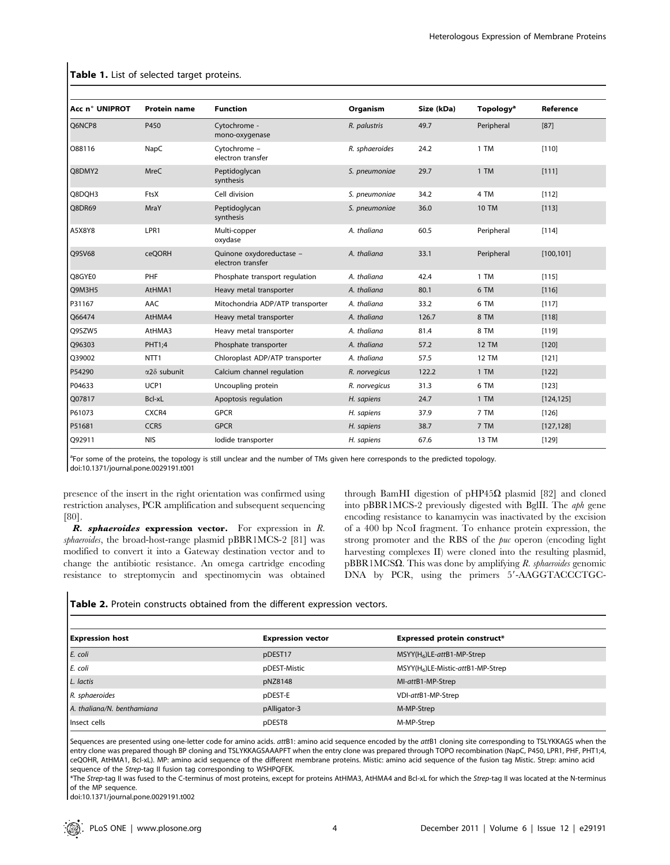| Acc n° UNIPROT | <b>Protein name</b> | <b>Function</b>                               | Organism       | Size (kDa) | <b>Topology<sup>a</sup></b> | Reference  |  |
|----------------|---------------------|-----------------------------------------------|----------------|------------|-----------------------------|------------|--|
| Q6NCP8<br>P450 |                     | Cytochrome -<br>mono-oxygenase                | R. palustris   | 49.7       | Peripheral                  | $[87]$     |  |
| O88116         | NapC                | Cytochrome -<br>electron transfer             | R. sphaeroides | 24.2       | 1 TM                        | [110]      |  |
| Q8DMY2         | <b>MreC</b>         | Peptidoglycan<br>synthesis                    | S. pneumoniae  | 29.7       | 1 TM                        | [111]      |  |
| Q8DQH3         | FtsX                | Cell division                                 | S. pneumoniae  | 34.2       | 4 TM                        | [112]      |  |
| Q8DR69         | MraY                | Peptidoglycan<br>synthesis                    | S. pneumoniae  | 36.0       | <b>10 TM</b>                | [113]      |  |
| A5X8Y8         | LPR1                | Multi-copper<br>oxydase                       | A. thaliana    | 60.5       | Peripheral                  | $[114]$    |  |
| Q9SV68         | ceQORH              | Quinone oxydoreductase -<br>electron transfer | A. thaliana    | 33.1       | Peripheral                  | [100, 101] |  |
| Q8GYE0         | PHF                 | Phosphate transport regulation                | A. thaliana    | 42.4       | 1 TM                        | [115]      |  |
| Q9M3H5         | AtHMA1              | Heavy metal transporter                       | A. thaliana    | 80.1       | 6 TM                        | [116]      |  |
| P31167         | AAC                 | Mitochondria ADP/ATP transporter              | A. thaliana    | 33.2       | 6 TM                        | [117]      |  |
| Q66474         | AtHMA4              | Heavy metal transporter                       | A. thaliana    | 126.7      | 8 TM                        | [118]      |  |
| Q9SZW5         | AtHMA3              | Heavy metal transporter                       | A. thaliana    | 81.4       | 8 TM                        | [119]      |  |
| Q96303         | PHT1;4              | Phosphate transporter                         | A. thaliana    | 57.2       | <b>12 TM</b>                | [120]      |  |
| Q39002         | NTT <sub>1</sub>    | Chloroplast ADP/ATP transporter               | A. thaliana    | 57.5       | <b>12 TM</b>                | [121]      |  |
| P54290         | $\alpha$ 28 subunit | Calcium channel regulation                    | R. norvegicus  | 122.2      | 1 TM                        | [122]      |  |
| P04633         | UCP1                | Uncoupling protein                            | R. norvegicus  | 31.3       | 6 TM                        | $[123]$    |  |
| Q07817         | Bcl-xL              | Apoptosis regulation                          | H. sapiens     | 24.7       | 1 TM                        | [124, 125] |  |
| P61073         | CXCR4               | <b>GPCR</b>                                   | H. sapiens     | 37.9       | 7 TM                        | $[126]$    |  |
| P51681         | CCR <sub>5</sub>    | <b>GPCR</b>                                   | H. sapiens     | 38.7       | 7 TM                        | [127, 128] |  |
| Q92911         | <b>NIS</b>          | lodide transporter                            | H. sapiens     | 67.6       | 13 TM                       | [129]      |  |

#### Table 1. List of selected target proteins.

<sup>a</sup>For some of the proteins, the topology is still unclear and the number of TMs given here corresponds to the predicted topology. doi:10.1371/journal.pone.0029191.t001

presence of the insert in the right orientation was confirmed using restriction analyses, PCR amplification and subsequent sequencing [80].

R. sphaeroides expression vector. For expression in R. sphaeroides, the broad-host-range plasmid pBBR1MCS-2 [81] was modified to convert it into a Gateway destination vector and to change the antibiotic resistance. An omega cartridge encoding resistance to streptomycin and spectinomycin was obtained through BamHI digestion of pHP45 $\Omega$  plasmid [82] and cloned into pBBR1MCS-2 previously digested with BglII. The aph gene encoding resistance to kanamycin was inactivated by the excision of a 400 bp NcoI fragment. To enhance protein expression, the strong promoter and the RBS of the *puc* operon (encoding light harvesting complexes II) were cloned into the resulting plasmid,  $pBBR1MCS\Omega$ . This was done by amplifying R. sphaeroides genomic DNA by PCR, using the primers 5'-AAGGTACCCTGC-

# Table 2. Protein constructs obtained from the different expression vectors.

| <b>Expression host</b>     | <b>Expression vector</b> | <b>Expressed protein construct*</b>  |
|----------------------------|--------------------------|--------------------------------------|
| E. coli                    | pDEST17                  | $MSYY(H_6)$ LE-attB1-MP-Strep        |
| E. coli                    | pDEST-Mistic             | $MSYY(H_6)$ LE-Mistic-attB1-MP-Strep |
| L. lactis                  | pNZ8148                  | MI-attB1-MP-Strep                    |
| R. sphaeroides             | pDEST-E                  | VDI-attB1-MP-Strep                   |
| A. thaliana/N. benthamiana | pAlligator-3             | M-MP-Strep                           |
| Insect cells               | pDEST8                   | M-MP-Strep                           |

Sequences are presented using one-letter code for amino acids. attB1: amino acid sequence encoded by the attB1 cloning site corresponding to TSLYKKAGS when the entry clone was prepared though BP cloning and TSLYKKAGSAAAPFT when the entry clone was prepared through TOPO recombination (NapC, P450, LPR1, PHF, PHT1;4, ceQOHR, AtHMA1, Bcl-xL). MP: amino acid sequence of the different membrane proteins. Mistic: amino acid sequence of the fusion tag Mistic. Strep: amino acid sequence of the Strep-tag II fusion tag corresponding to WSHPQFEK.

\*The Strep-tag II was fused to the C-terminus of most proteins, except for proteins AtHMA3, AtHMA4 and Bcl-xL for which the Strep-tag II was located at the N-terminus of the MP sequence.

doi:10.1371/journal.pone.0029191.t002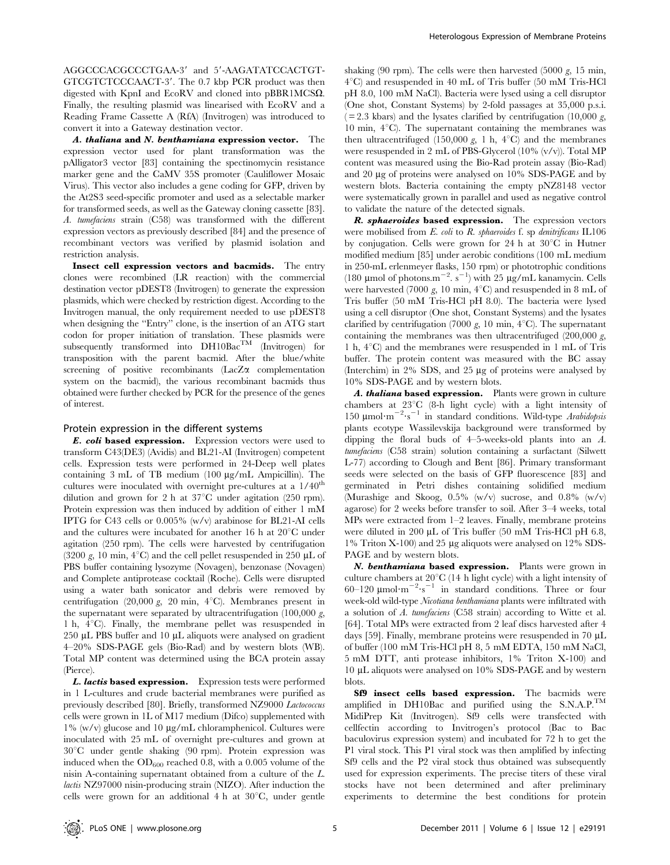AGGCCCACGCCCTGAA-3' and 5'-AAGATATCCACTGT-GTCGTCTCCCAACT-3'. The 0.7 kbp PCR product was then digested with KpnI and EcoRV and cloned into  $pBBR1MCS\Omega$ . Finally, the resulting plasmid was linearised with EcoRV and a Reading Frame Cassette A (RfA) (Invitrogen) was introduced to convert it into a Gateway destination vector.

A. thaliana and N. benthamiana expression vector. The expression vector used for plant transformation was the pAlligator3 vector [83] containing the spectinomycin resistance marker gene and the CaMV 35S promoter (Cauliflower Mosaic Virus). This vector also includes a gene coding for GFP, driven by the At2S3 seed-specific promoter and used as a selectable marker for transformed seeds, as well as the Gateway cloning cassette [83]. A. tumefaciens strain (C58) was transformed with the different expression vectors as previously described [84] and the presence of recombinant vectors was verified by plasmid isolation and restriction analysis.

Insect cell expression vectors and bacmids. The entry clones were recombined (LR reaction) with the commercial destination vector pDEST8 (Invitrogen) to generate the expression plasmids, which were checked by restriction digest. According to the Invitrogen manual, the only requirement needed to use pDEST8 when designing the ''Entry'' clone, is the insertion of an ATG start codon for proper initiation of translation. These plasmids were subsequently transformed into  $DH10Bac^{TM}$  (Invitrogen) for transposition with the parent bacmid. After the blue/white screening of positive recombinants (LacZ $\alpha$  complementation system on the bacmid), the various recombinant bacmids thus obtained were further checked by PCR for the presence of the genes of interest.

#### Protein expression in the different systems

E. coli based expression. Expression vectors were used to transform C43(DE3) (Avidis) and BL21-AI (Invitrogen) competent cells. Expression tests were performed in 24-Deep well plates containing  $3 \text{ mL of TB medium } (100 \text{ \mu g/mL Ampicillin}).$  The cultures were inoculated with overnight pre-cultures at a  $1/40<sup>th</sup>$ dilution and grown for 2 h at  $37^{\circ}$ C under agitation (250 rpm). Protein expression was then induced by addition of either 1 mM IPTG for C43 cells or 0.005% (w/v) arabinose for BL21-AI cells and the cultures were incubated for another 16 h at  $20^{\circ}$ C under agitation (250 rpm). The cells were harvested by centrifugation (3200 g, 10 min,  $4^{\circ}$ C) and the cell pellet resuspended in 250  $\mu$ L of PBS buffer containing lysozyme (Novagen), benzonase (Novagen) and Complete antiprotease cocktail (Roche). Cells were disrupted using a water bath sonicator and debris were removed by centrifugation (20,000 g, 20 min,  $4^{\circ}$ C). Membranes present in the supernatant were separated by ultracentrifugation  $(100,000 \text{ g})$ , 1 h,  $4^{\circ}$ C). Finally, the membrane pellet was resuspended in 250  $\mu$ L PBS buffer and 10  $\mu$ L aliquots were analysed on gradient 4–20% SDS-PAGE gels (Bio-Rad) and by western blots (WB). Total MP content was determined using the BCA protein assay (Pierce).

L. lactis based expression. Expression tests were performed in 1 L-cultures and crude bacterial membranes were purified as previously described [80]. Briefly, transformed NZ9000 Lactococcus cells were grown in 1L of M17 medium (Difco) supplemented with  $1\%$  (w/v) glucose and 10  $\mu$ g/mL chloramphenicol. Cultures were inoculated with 25 mL of overnight pre-cultures and grown at  $30^{\circ}$ C under gentle shaking (90 rpm). Protein expression was induced when the  $OD_{600}$  reached 0.8, with a 0.005 volume of the nisin A-containing supernatant obtained from a culture of the L. lactis NZ97000 nisin-producing strain (NIZO). After induction the cells were grown for an additional  $4 h$  at  $30^{\circ}$ C, under gentle

shaking (90 rpm). The cells were then harvested (5000  $g$ , 15 min,  $4^{\circ}$ C) and resuspended in 40 mL of Tris buffer (50 mM Tris-HCl pH 8.0, 100 mM NaCl). Bacteria were lysed using a cell disruptor (One shot, Constant Systems) by 2-fold passages at 35,000 p.s.i.  $(= 2.3 \text{ kbars})$  and the lysates clarified by centrifugation  $(10,000 \text{ g})$ , 10 min,  $4^{\circ}$ C). The supernatant containing the membranes was then ultracentrifuged (150,000 g, 1 h,  $4^{\circ}$ C) and the membranes were resuspended in 2 mL of PBS-Glycerol (10% (v/v)). Total MP content was measured using the Bio-Rad protein assay (Bio-Rad) and 20 µg of proteins were analysed on 10% SDS-PAGE and by western blots. Bacteria containing the empty pNZ8148 vector were systematically grown in parallel and used as negative control to validate the nature of the detected signals.

R. sphaeroides based expression. The expression vectors were mobilised from  $E$ . coli to  $R$ . sphaeroides f. sp denitrificans IL106 by conjugation. Cells were grown for 24 h at  $30^{\circ}$ C in Hutner modified medium [85] under aerobic conditions (100 mL medium in 250-mL erlenmeyer flasks, 150 rpm) or phototrophic conditions (180 µmol of photons.m<sup>-2</sup>. s<sup>-1</sup>) with 25 µg/mL kanamycin. Cells were harvested (7000 g, 10 min,  $4^{\circ}$ C) and resuspended in 8 mL of Tris buffer (50 mM Tris-HCl pH 8.0). The bacteria were lysed using a cell disruptor (One shot, Constant Systems) and the lysates clarified by centrifugation (7000 g, 10 min,  $4^{\circ}$ C). The supernatant containing the membranes was then ultracentrifuged  $(200,000 \, g,$ 1 h,  $4^{\circ}$ C) and the membranes were resuspended in 1 mL of Tris buffer. The protein content was measured with the BC assay (Interchim) in  $2\%$  SDS, and  $25 \mu$ g of proteins were analysed by 10% SDS-PAGE and by western blots.

A. thaliana based expression. Plants were grown in culture chambers at  $23^{\circ}C$  (8-h light cycle) with a light intensity of 150  $\mu$ mol·m<sup>-2</sup>·s<sup>-1</sup> in standard conditions. Wild-type Arabidopsis plants ecotype Wassilevskija background were transformed by dipping the floral buds of 4–5-weeks-old plants into an A. tumefaciens (C58 strain) solution containing a surfactant (Silwett L-77) according to Clough and Bent [86]. Primary transformant seeds were selected on the basis of GFP fluorescence [83] and germinated in Petri dishes containing solidified medium (Murashige and Skoog, 0.5% (w/v) sucrose, and 0.8% (w/v) agarose) for 2 weeks before transfer to soil. After 3–4 weeks, total MPs were extracted from 1–2 leaves. Finally, membrane proteins were diluted in 200  $\mu$ L of Tris buffer (50 mM Tris-HCl pH 6.8, 1% Triton X-100) and 25 µg aliquots were analysed on 12% SDS-PAGE and by western blots.

N. benthamiana based expression. Plants were grown in culture chambers at  $20^{\circ}$ C (14 h light cycle) with a light intensity of 60–120  $\mu$ mol·m<sup>-2</sup>·s<sup>-1</sup> in standard conditions. Three or four week-old wild-type Nicotiana benthamiana plants were infiltrated with a solution of A. tumefaciens (C58 strain) according to Witte et al. [64]. Total MPs were extracted from 2 leaf discs harvested after 4 days [59]. Finally, membrane proteins were resuspended in 70  $\mu$ L of buffer (100 mM Tris-HCl pH 8, 5 mM EDTA, 150 mM NaCl, 5 mM DTT, anti protease inhibitors, 1% Triton X-100) and 10 mL aliquots were analysed on 10% SDS-PAGE and by western blots.

Sf9 insect cells based expression. The bacmids were amplified in DH10Bac and purified using the S.N.A.P.TM MidiPrep Kit (Invitrogen). Sf9 cells were transfected with cellfectin according to Invitrogen's protocol (Bac to Bac baculovirus expression system) and incubated for 72 h to get the P1 viral stock. This P1 viral stock was then amplified by infecting Sf9 cells and the P2 viral stock thus obtained was subsequently used for expression experiments. The precise titers of these viral stocks have not been determined and after preliminary experiments to determine the best conditions for protein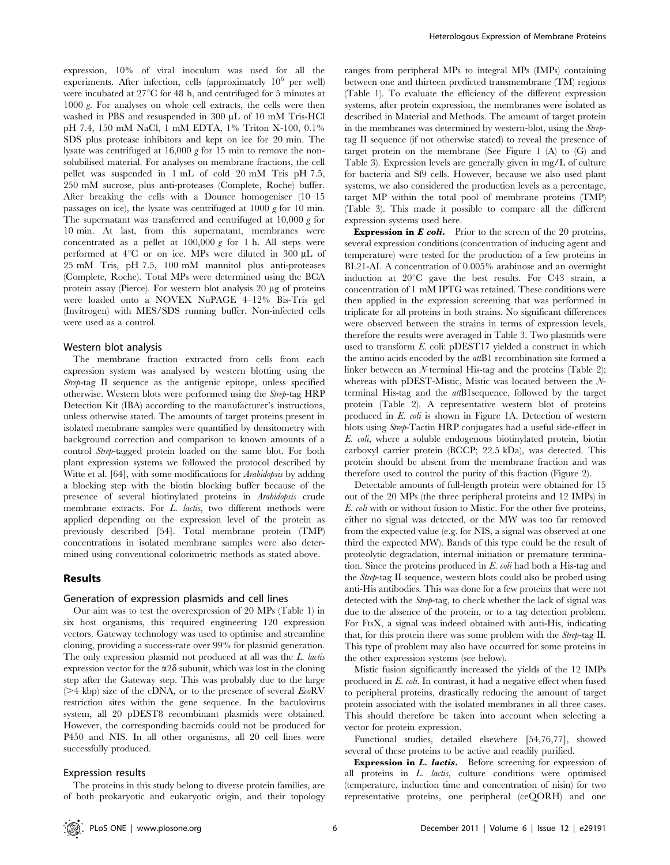expression, 10% of viral inoculum was used for all the experiments. After infection, cells (approximately  $10^6$  per well) were incubated at  $27^{\circ}$ C for 48 h, and centrifuged for 5 minutes at 1000 g. For analyses on whole cell extracts, the cells were then washed in PBS and resuspended in 300  $\mu$ L of 10 mM Tris-HCl pH 7.4, 150 mM NaCl, 1 mM EDTA, 1% Triton X-100, 0.1% SDS plus protease inhibitors and kept on ice for 20 min. The lysate was centrifuged at 16,000 g for 15 min to remove the nonsolubilised material. For analyses on membrane fractions, the cell pellet was suspended in 1 mL of cold 20 mM Tris pH 7.5, 250 mM sucrose, plus anti-proteases (Complete, Roche) buffer. After breaking the cells with a Dounce homogeniser (10–15 passages on ice), the lysate was centrifuged at 1000 g for 10 min. The supernatant was transferred and centrifuged at  $10,000 \text{ g}$  for 10 min. At last, from this supernatant, membranes were concentrated as a pellet at  $100,000 g$  for 1 h. All steps were performed at  $4^{\circ}$ C or on ice. MPs were diluted in 300  $\mu$ L of 25 mM Tris, pH 7.5, 100 mM mannitol plus anti-proteases (Complete, Roche). Total MPs were determined using the BCA protein assay (Pierce). For western blot analysis 20  $\mu$ g of proteins were loaded onto a NOVEX NuPAGE 4–12% Bis-Tris gel (Invitrogen) with MES/SDS running buffer. Non-infected cells were used as a control.

#### Western blot analysis

The membrane fraction extracted from cells from each expression system was analysed by western blotting using the Strep-tag II sequence as the antigenic epitope, unless specified otherwise. Western blots were performed using the Strep-tag HRP Detection Kit (IBA) according to the manufacturer's instructions, unless otherwise stated. The amounts of target proteins present in isolated membrane samples were quantified by densitometry with background correction and comparison to known amounts of a control Strep-tagged protein loaded on the same blot. For both plant expression systems we followed the protocol described by Witte et al. [64], with some modifications for *Arabidopsis* by adding a blocking step with the biotin blocking buffer because of the presence of several biotinylated proteins in Arabidopsis crude membrane extracts. For L. lactis, two different methods were applied depending on the expression level of the protein as previously described [54]. Total membrane protein (TMP) concentrations in isolated membrane samples were also determined using conventional colorimetric methods as stated above.

#### Results

#### Generation of expression plasmids and cell lines

Our aim was to test the overexpression of 20 MPs (Table 1) in six host organisms, this required engineering 120 expression vectors. Gateway technology was used to optimise and streamline cloning, providing a success-rate over 99% for plasmid generation. The only expression plasmid not produced at all was the L. lactis expression vector for the  $\alpha$ 2 $\delta$  subunit, which was lost in the cloning step after the Gateway step. This was probably due to the large ( $>4$  kbp) size of the cDNA, or to the presence of several  $E \circ RV$ restriction sites within the gene sequence. In the baculovirus system, all 20 pDEST8 recombinant plasmids were obtained. However, the corresponding bacmids could not be produced for P450 and NIS. In all other organisms, all 20 cell lines were successfully produced.

### Expression results

The proteins in this study belong to diverse protein families, are of both prokaryotic and eukaryotic origin, and their topology

ranges from peripheral MPs to integral MPs (IMPs) containing between one and thirteen predicted transmembrane (TM) regions (Table 1). To evaluate the efficiency of the different expression systems, after protein expression, the membranes were isolated as described in Material and Methods. The amount of target protein in the membranes was determined by western-blot, using the Streptag II sequence (if not otherwise stated) to reveal the presence of target protein on the membrane (See Figure 1 (A) to (G) and Table 3). Expression levels are generally given in mg/L of culture for bacteria and Sf9 cells. However, because we also used plant systems, we also considered the production levels as a percentage, target MP within the total pool of membrane proteins (TMP) (Table 3). This made it possible to compare all the different expression systems used here.

**Expression in E coli.** Prior to the screen of the 20 proteins, several expression conditions (concentration of inducing agent and temperature) were tested for the production of a few proteins in BL21-AI. A concentration of 0.005% arabinose and an overnight induction at  $20^{\circ}$ C gave the best results. For C43 strain, a concentration of 1 mM IPTG was retained. These conditions were then applied in the expression screening that was performed in triplicate for all proteins in both strains. No significant differences were observed between the strains in terms of expression levels, therefore the results were averaged in Table 3. Two plasmids were used to transform E. coli: pDEST17 yielded a construct in which the amino acids encoded by the attB1 recombination site formed a linker between an N-terminal His-tag and the proteins (Table 2); whereas with pDEST-Mistic, Mistic was located between the Nterminal His-tag and the attB1sequence, followed by the target protein (Table 2). A representative western blot of proteins produced in E. coli is shown in Figure 1A. Detection of western blots using Strep-Tactin HRP conjugates had a useful side-effect in E. coli, where a soluble endogenous biotinylated protein, biotin carboxyl carrier protein (BCCP; 22.5 kDa), was detected. This protein should be absent from the membrane fraction and was therefore used to control the purity of this fraction (Figure 2).

Detectable amounts of full-length protein were obtained for 15 out of the 20 MPs (the three peripheral proteins and 12 IMPs) in E. coli with or without fusion to Mistic. For the other five proteins, either no signal was detected, or the MW was too far removed from the expected value (e.g. for NIS, a signal was observed at one third the expected MW). Bands of this type could be the result of proteolytic degradation, internal initiation or premature termination. Since the proteins produced in E. coli had both a His-tag and the Strep-tag II sequence, western blots could also be probed using anti-His antibodies. This was done for a few proteins that were not detected with the Strep-tag, to check whether the lack of signal was due to the absence of the protein, or to a tag detection problem. For FtsX, a signal was indeed obtained with anti-His, indicating that, for this protein there was some problem with the Strep-tag II. This type of problem may also have occurred for some proteins in the other expression systems (see below).

Mistic fusion significantly increased the yields of the 12 IMPs produced in E. coli. In contrast, it had a negative effect when fused to peripheral proteins, drastically reducing the amount of target protein associated with the isolated membranes in all three cases. This should therefore be taken into account when selecting a vector for protein expression.

Functional studies, detailed elsewhere [54,76,77], showed several of these proteins to be active and readily purified.

Expression in L. lactis. Before screening for expression of all proteins in L. lactis, culture conditions were optimised (temperature, induction time and concentration of nisin) for two representative proteins, one peripheral (ceQORH) and one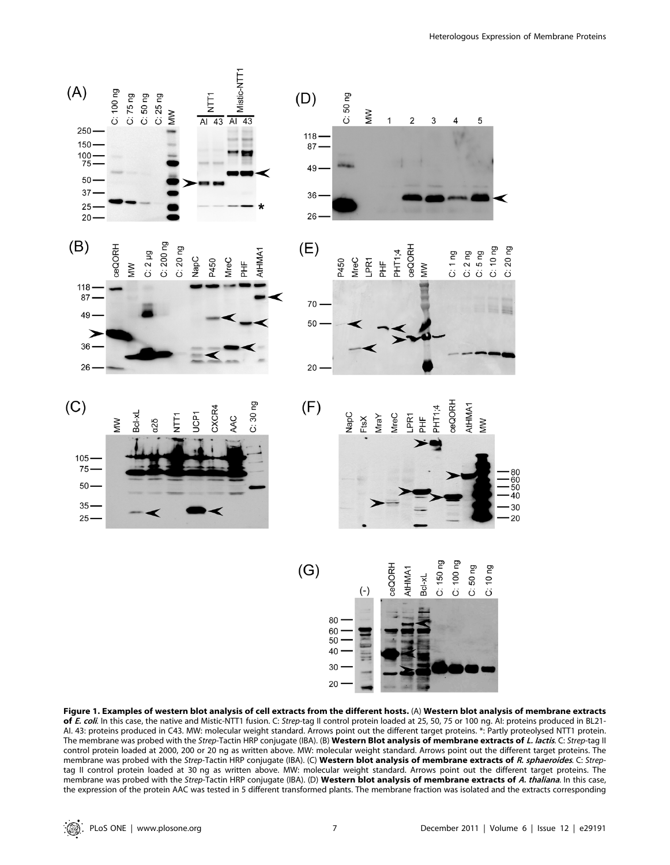

Figure 1. Examples of western blot analysis of cell extracts from the different hosts. (A) Western blot analysis of membrane extracts of E. coli. In this case, the native and Mistic-NTT1 fusion. C: Strep-tag II control protein loaded at 25, 50, 75 or 100 ng. AI: proteins produced in BL21-AI. 43: proteins produced in C43. MW: molecular weight standard. Arrows point out the different target proteins. \*: Partly proteolysed NTT1 protein. The membrane was probed with the Strep-Tactin HRP conjugate (IBA). (B) Western Blot analysis of membrane extracts of L. lactis. C: Strep-tag II control protein loaded at 2000, 200 or 20 ng as written above. MW: molecular weight standard. Arrows point out the different target proteins. The membrane was probed with the Strep-Tactin HRP conjugate (IBA). (C) Western blot analysis of membrane extracts of R. sphaeroides. C: Streptag II control protein loaded at 30 ng as written above. MW: molecular weight standard. Arrows point out the different target proteins. The membrane was probed with the Strep-Tactin HRP conjugate (IBA). (D) Western blot analysis of membrane extracts of A. thaliana. In this case, the expression of the protein AAC was tested in 5 different transformed plants. The membrane fraction was isolated and the extracts corresponding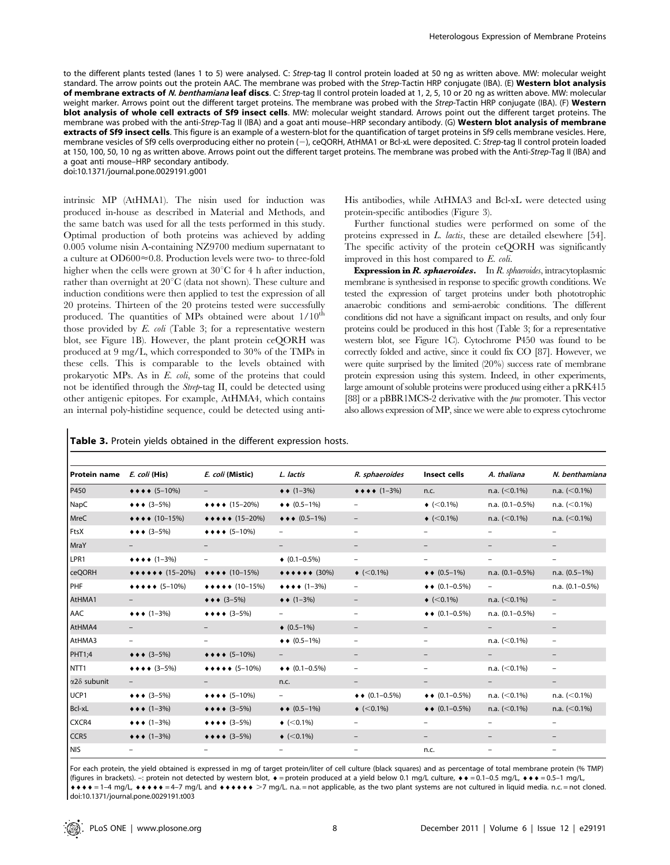to the different plants tested (lanes 1 to 5) were analysed. C: Strep-tag II control protein loaded at 50 ng as written above. MW: molecular weight standard. The arrow points out the protein AAC. The membrane was probed with the Strep-Tactin HRP conjugate (IBA). (E) Western blot analysis of membrane extracts of N. benthamiana leaf discs. C: Strep-tag II control protein loaded at 1, 2, 5, 10 or 20 ng as written above. MW: molecular weight marker. Arrows point out the different target proteins. The membrane was probed with the Strep-Tactin HRP conjugate (IBA). (F) Western blot analysis of whole cell extracts of Sf9 insect cells. MW: molecular weight standard. Arrows point out the different target proteins. The membrane was probed with the anti-Strep-Tag II (IBA) and a goat anti mouse–HRP secondary antibody. (G) Western blot analysis of membrane extracts of Sf9 insect cells. This figure is an example of a western-blot for the quantification of target proteins in Sf9 cells membrane vesicles. Here, membrane vesicles of Sf9 cells overproducing either no protein (-), ceQORH, AtHMA1 or Bcl-xL were deposited. C: Strep-tag II control protein loaded at 150, 100, 50, 10 ng as written above. Arrows point out the different target proteins. The membrane was probed with the Anti-Strep-Tag II (IBA) and a goat anti mouse–HRP secondary antibody.

doi:10.1371/journal.pone.0029191.g001

intrinsic MP (AtHMA1). The nisin used for induction was produced in-house as described in Material and Methods, and the same batch was used for all the tests performed in this study. Optimal production of both proteins was achieved by adding 0.005 volume nisin A-containing NZ9700 medium supernatant to a culture at  $OD600 \approx 0.8$ . Production levels were two- to three-fold higher when the cells were grown at  $30^{\circ}$ C for 4 h after induction, rather than overnight at  $20^{\circ}$ C (data not shown). These culture and induction conditions were then applied to test the expression of all 20 proteins. Thirteen of the 20 proteins tested were successfully produced. The quantities of MPs obtained were about  $1/10^{th}$ those provided by  $E.$  coli (Table 3; for a representative western blot, see Figure 1B). However, the plant protein ceQORH was produced at 9 mg/L, which corresponded to 30% of the TMPs in these cells. This is comparable to the levels obtained with prokaryotic MPs. As in E. coli, some of the proteins that could not be identified through the Strep-tag II, could be detected using other antigenic epitopes. For example, AtHMA4, which contains an internal poly-histidine sequence, could be detected using anti-

His antibodies, while AtHMA3 and Bcl-xL were detected using protein-specific antibodies (Figure 3).

Further functional studies were performed on some of the proteins expressed in L. lactis, these are detailed elsewhere [54]. The specific activity of the protein ceQORH was significantly improved in this host compared to E. coli.

**Expression in R. sphaeroides.** In R. sphaeroides, intracytoplasmic membrane is synthesised in response to specific growth conditions. We tested the expression of target proteins under both phototrophic anaerobic conditions and semi-aerobic conditions. The different conditions did not have a significant impact on results, and only four proteins could be produced in this host (Table 3; for a representative western blot, see Figure 1C). Cytochrome P450 was found to be correctly folded and active, since it could fix CO [87]. However, we were quite surprised by the limited (20%) success rate of membrane protein expression using this system. Indeed, in other experiments, large amount of soluble proteins were produced using either a pRK415 [88] or a pBBR1MCS-2 derivative with the *puc* promoter. This vector also allows expression of MP, since we were able to express cytochrome

| Protein name        | E. coli (His)                                               | E. coli (Mistic)                                    | L. lactis                           | R. sphaeroides               | Insect cells                    | A. thaliana              | N. benthamiana           |
|---------------------|-------------------------------------------------------------|-----------------------------------------------------|-------------------------------------|------------------------------|---------------------------------|--------------------------|--------------------------|
| P450                | $\leftrightarrow$ + + (5-10%)                               | $-$                                                 | $\leftrightarrow$ (1-3%)            | $\leftrightarrow$ + + (1-3%) | n.c.                            | n.a. $(<0.1\%)$          | n.a. $(<0.1\%)$          |
| NapC                | $\leftrightarrow$ $\leftrightarrow$ (3-5%)                  | $\leftrightarrow$ $\leftrightarrow$ (15-20%)        | $\bullet \bullet (0.5-1\%)$         |                              | $\bullet$ (<0.1%)               | n.a. $(0.1 - 0.5\%)$     | n.a. $(<0.1\%)$          |
| <b>MreC</b>         | $\leftrightarrow$ $\leftrightarrow$ (10-15%)                | $\leftrightarrow \bullet \bullet \bullet (15-20\%)$ | $\leftrightarrow \bullet (0.5-1\%)$ | $\overline{\phantom{0}}$     | $\bullet$ (<0.1%)               | n.a. $(<0.1\%)$          | n.a. $(<0.1\%)$          |
| FtsX                | $\leftrightarrow$ $\leftrightarrow$ (3-5%)                  | $\leftrightarrow$ $\leftrightarrow$ (5-10%)         |                                     |                              |                                 | $\overline{\phantom{0}}$ | $\overline{\phantom{0}}$ |
| MraY                | $-$                                                         | $-$                                                 | $\overline{\phantom{0}}$            | $\qquad \qquad -$            |                                 |                          | $\qquad \qquad -$        |
| LPR1                | $\leftrightarrow$ + + (1-3%)                                | $\overline{\phantom{0}}$                            | $\bullet$ (0.1-0.5%)                | $\overline{\phantom{0}}$     |                                 |                          | $\overline{\phantom{0}}$ |
| <b>ceQORH</b>       | $\leftrightarrow \bullet \bullet \bullet \bullet (15-20\%)$ | $\leftrightarrow$ + + (10-15%)                      | $\leftrightarrow$ + + + + + (30%)   | $\triangleleft$ (<0.1%)      | $\leftrightarrow$ (0.5–1%)      | n.a. $(0.1 - 0.5\%)$     | n.a. $(0.5-1\%)$         |
| PHF                 | $\leftrightarrow$ + + + (5-10%)                             | $\leftrightarrow$ + $\leftrightarrow$ (10–15%)      | $\leftrightarrow$ + + (1-3%)        | Ξ.                           | $\leftrightarrow$ (0.1–0.5%)    | $ \,$                    | n.a. $(0.1 - 0.5\%)$     |
| AtHMA1              | $ -$                                                        | $\leftrightarrow$ $\leftrightarrow$ (3-5%)          | $\leftrightarrow$ (1-3%)            |                              | $\bullet$ (<0.1%)               | n.a. $(<0.1\%)$          | $\overline{\phantom{a}}$ |
| AAC                 | $\leftrightarrow$ (1-3%)                                    | $\leftrightarrow$ + + (3-5%)                        | $\overline{\phantom{0}}$            | Ξ.                           | $\bullet \bullet (0.1 - 0.5\%)$ | n.a. $(0.1 - 0.5\%)$     | $\overline{\phantom{m}}$ |
| AtHMA4              |                                                             |                                                     | $\triangleleft$ (0.5–1%)            |                              |                                 |                          |                          |
| AtHMA3              | $\overline{\phantom{0}}$                                    | $\overline{\phantom{0}}$                            | $\bullet \bullet (0.5-1\%)$         | Ξ.                           | $\overline{\phantom{0}}$        | n.a. $(<0.1\%)$          | $\qquad \qquad -$        |
| PHT1;4              | $\leftrightarrow$ $\leftrightarrow$ (3-5%)                  | $\leftrightarrow$ + + (5-10%)                       |                                     |                              |                                 |                          |                          |
| NTT <sub>1</sub>    | $\leftrightarrow$ + + (3-5%)                                | $\leftrightarrow$ + $\leftrightarrow$ (5-10%)       | $\leftrightarrow$ (0.1-0.5%)        |                              |                                 | n.a. $(<0.1\%)$          | $\overline{\phantom{0}}$ |
| $\alpha$ 28 subunit |                                                             |                                                     | n.c.                                |                              |                                 |                          |                          |
| UCP1                | $\leftrightarrow$ $\leftrightarrow$ (3-5%)                  | $\leftrightarrow$ + + (5-10%)                       | $ -$                                | $\leftrightarrow$ (0.1–0.5%) | $\bullet \bullet (0.1 - 0.5\%)$ | n.a. $(<0.1\%)$          | n.a. $(< 0.1\%)$         |
| Bcl-xL              | $\leftrightarrow$ (1-3%)                                    | $\leftrightarrow$ $\leftrightarrow$ (3-5%)          | $\leftrightarrow$ (0.5–1%)          | $\triangleleft$ (<0.1%)      | $\bullet \bullet (0.1 - 0.5\%)$ | n.a. $(<0.1\%)$          | n.a. $(<0.1\%)$          |
| CXCR4               | $\leftrightarrow$ (1-3%)                                    | $\leftrightarrow$ + + (3-5%)                        | $\triangleleft$ (<0.1%)             |                              |                                 |                          | $\overline{\phantom{0}}$ |
| CCR5                | $\leftrightarrow$ (1-3%)                                    | $\leftrightarrow$ $\leftrightarrow$ (3-5%)          | $\bullet$ (<0.1%)                   |                              |                                 |                          |                          |
| NIS                 |                                                             |                                                     |                                     |                              | n.c.                            |                          |                          |

Table 3. Protein yields obtained in the different expression hosts.

For each protein, the yield obtained is expressed in mg of target protein/liter of cell culture (black squares) and as percentage of total membrane protein (% TMP) (figures in brackets). -: protein not detected by western blot,  $\bullet$  = protein produced at a yield below 0.1 mg/L culture,  $\bullet \bullet = 0.1-0.5$  mg/L,  $\bullet \bullet \bullet = 0.5-1$  mg/L,  $\bullet \bullet \bullet = 1$ –4 mg/L,  $\bullet \bullet \bullet \bullet \bullet = 4$ –7 mg/L and  $\bullet \bullet \bullet \bullet \bullet \bullet \geq 7$  mg/L. n.a. = not applicable, as the two plant systems are not cultured in liquid media. n.c. = not cloned. doi:10.1371/journal.pone.0029191.t003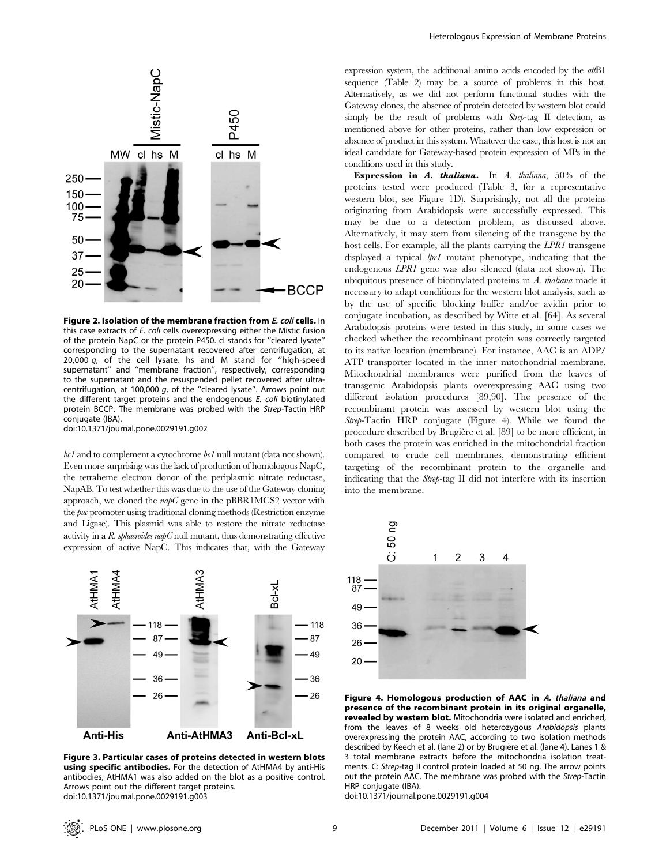

Figure 2. Isolation of the membrane fraction from E. coli cells. In this case extracts of E. coli cells overexpressing either the Mistic fusion of the protein NapC or the protein P450. cl stands for ''cleared lysate'' corresponding to the supernatant recovered after centrifugation, at 20,000  $q$ , of the cell lysate. hs and M stand for "high-speed supernatant'' and ''membrane fraction'', respectively, corresponding to the supernatant and the resuspended pellet recovered after ultracentrifugation, at 100,000 g, of the ''cleared lysate''. Arrows point out the different target proteins and the endogenous E. coli biotinylated protein BCCP. The membrane was probed with the Strep-Tactin HRP conjugate (IBA).

doi:10.1371/journal.pone.0029191.g002

 $bc1$  and to complement a cytochrome  $bc1$  null mutant (data not shown). Even more surprising was the lack of production of homologous NapC, the tetraheme electron donor of the periplasmic nitrate reductase, NapAB. To test whether this was due to the use of the Gateway cloning approach, we cloned the  $napC$  gene in the pBBR1MCS2 vector with the puc promoter using traditional cloning methods (Restriction enzyme and Ligase). This plasmid was able to restore the nitrate reductase activity in a  $R$ . sphaeroides napC null mutant, thus demonstrating effective expression of active NapC. This indicates that, with the Gateway



Figure 3. Particular cases of proteins detected in western blots using specific antibodies. For the detection of AtHMA4 by anti-His antibodies, AtHMA1 was also added on the blot as a positive control. Arrows point out the different target proteins. doi:10.1371/journal.pone.0029191.g003

expression system, the additional amino acids encoded by the  $attB1$ sequence (Table 2) may be a source of problems in this host. Alternatively, as we did not perform functional studies with the Gateway clones, the absence of protein detected by western blot could simply be the result of problems with Strep-tag II detection, as mentioned above for other proteins, rather than low expression or absence of product in this system. Whatever the case, this host is not an ideal candidate for Gateway-based protein expression of MPs in the conditions used in this study.

**Expression in A. thaliana.** In A. thaliana,  $50\%$  of the proteins tested were produced (Table 3, for a representative western blot, see Figure 1D). Surprisingly, not all the proteins originating from Arabidopsis were successfully expressed. This may be due to a detection problem, as discussed above. Alternatively, it may stem from silencing of the transgene by the host cells. For example, all the plants carrying the LPR1 transgene displayed a typical  $lpr1$  mutant phenotype, indicating that the endogenous LPR1 gene was also silenced (data not shown). The ubiquitous presence of biotinylated proteins in A. thaliana made it necessary to adapt conditions for the western blot analysis, such as by the use of specific blocking buffer and/or avidin prior to conjugate incubation, as described by Witte et al. [64]. As several Arabidopsis proteins were tested in this study, in some cases we checked whether the recombinant protein was correctly targeted to its native location (membrane). For instance, AAC is an ADP/ ATP transporter located in the inner mitochondrial membrane. Mitochondrial membranes were purified from the leaves of transgenic Arabidopsis plants overexpressing AAC using two different isolation procedures [89,90]. The presence of the recombinant protein was assessed by western blot using the Strep-Tactin HRP conjugate (Figure 4). While we found the procedure described by Brugière et al. [89] to be more efficient, in both cases the protein was enriched in the mitochondrial fraction compared to crude cell membranes, demonstrating efficient targeting of the recombinant protein to the organelle and indicating that the Strep-tag II did not interfere with its insertion into the membrane.



Figure 4. Homologous production of AAC in A. thaliana and presence of the recombinant protein in its original organelle, revealed by western blot. Mitochondria were isolated and enriched, from the leaves of 8 weeks old heterozygous Arabidopsis plants overexpressing the protein AAC, according to two isolation methods described by Keech et al. (lane 2) or by Brugière et al. (lane 4). Lanes 1 & 3 total membrane extracts before the mitochondria isolation treatments. C: Strep-tag II control protein loaded at 50 ng. The arrow points out the protein AAC. The membrane was probed with the Strep-Tactin HRP conjugate (IBA).

doi:10.1371/journal.pone.0029191.g004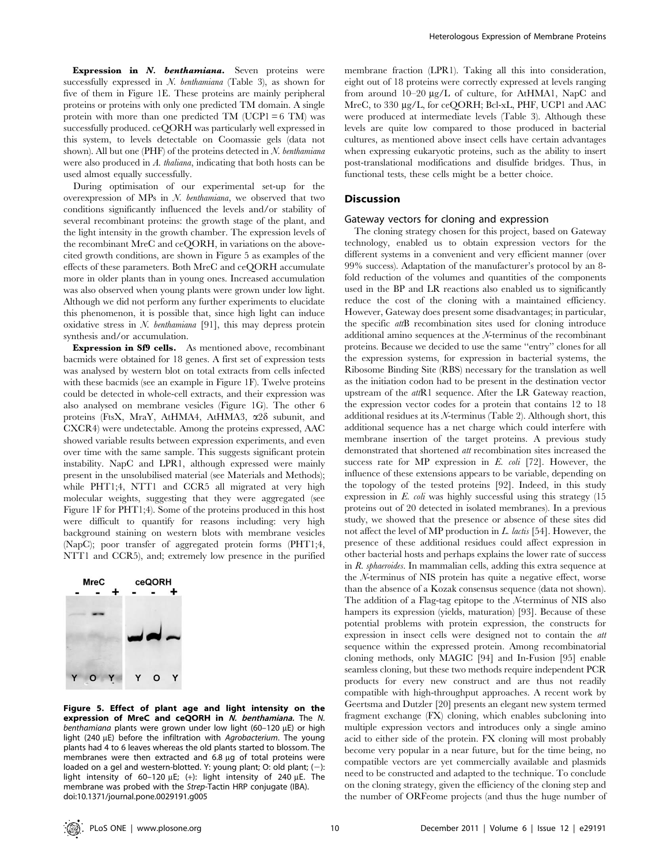Expression in N. benthamiana. Seven proteins were successfully expressed in N. benthamiana (Table 3), as shown for five of them in Figure 1E. These proteins are mainly peripheral proteins or proteins with only one predicted TM domain. A single protein with more than one predicted TM (UCP1 =  $6$  TM) was successfully produced. ceQORH was particularly well expressed in this system, to levels detectable on Coomassie gels (data not shown). All but one (PHF) of the proteins detected in  $N$ . benthamiana were also produced in A. thaliana, indicating that both hosts can be used almost equally successfully.

During optimisation of our experimental set-up for the overexpression of MPs in  $N$ . *benthamiana*, we observed that two conditions significantly influenced the levels and/or stability of several recombinant proteins: the growth stage of the plant, and the light intensity in the growth chamber. The expression levels of the recombinant MreC and ceQORH, in variations on the abovecited growth conditions, are shown in Figure 5 as examples of the effects of these parameters. Both MreC and ceQORH accumulate more in older plants than in young ones. Increased accumulation was also observed when young plants were grown under low light. Although we did not perform any further experiments to elucidate this phenomenon, it is possible that, since high light can induce oxidative stress in  $N$ . *benthamiana* [91], this may depress protein synthesis and/or accumulation.

Expression in Sf9 cells. As mentioned above, recombinant bacmids were obtained for 18 genes. A first set of expression tests was analysed by western blot on total extracts from cells infected with these bacmids (see an example in Figure 1F). Twelve proteins could be detected in whole-cell extracts, and their expression was also analysed on membrane vesicles (Figure 1G). The other 6 proteins (FtsX, MraY, AtHMA4, AtHMA3, a2d subunit, and CXCR4) were undetectable. Among the proteins expressed, AAC showed variable results between expression experiments, and even over time with the same sample. This suggests significant protein instability. NapC and LPR1, although expressed were mainly present in the unsolubilised material (see Materials and Methods); while PHT1;4, NTT1 and CCR5 all migrated at very high molecular weights, suggesting that they were aggregated (see Figure 1F for PHT1;4). Some of the proteins produced in this host were difficult to quantify for reasons including: very high background staining on western blots with membrane vesicles (NapC); poor transfer of aggregated protein forms (PHT1;4, NTT1 and CCR5), and; extremely low presence in the purified



Figure 5. Effect of plant age and light intensity on the expression of MreC and ceQORH in N. benthamiana. The N. benthamiana plants were grown under low light (60–120  $\mu$ E) or high light (240  $\mu$ E) before the infiltration with Agrobacterium. The young plants had 4 to 6 leaves whereas the old plants started to blossom. The membranes were then extracted and  $6.8 \mu$ g of total proteins were loaded on a gel and western-blotted. Y: young plant; O: old plant;  $(-)$ : light intensity of 60–120  $\mu$ E; (+): light intensity of 240  $\mu$ E. The membrane was probed with the Strep-Tactin HRP conjugate (IBA). doi:10.1371/journal.pone.0029191.g005

membrane fraction (LPR1). Taking all this into consideration, eight out of 18 proteins were correctly expressed at levels ranging from around 10–20  $\mu$ g/L of culture, for AtHMA1, NapC and MreC, to 330 µg/L, for ceQORH; Bcl-xL, PHF, UCP1 and AAC were produced at intermediate levels (Table 3). Although these levels are quite low compared to those produced in bacterial cultures, as mentioned above insect cells have certain advantages when expressing eukaryotic proteins, such as the ability to insert post-translational modifications and disulfide bridges. Thus, in functional tests, these cells might be a better choice.

#### **Discussion**

# Gateway vectors for cloning and expression

The cloning strategy chosen for this project, based on Gateway technology, enabled us to obtain expression vectors for the different systems in a convenient and very efficient manner (over 99% success). Adaptation of the manufacturer's protocol by an 8 fold reduction of the volumes and quantities of the components used in the BP and LR reactions also enabled us to significantly reduce the cost of the cloning with a maintained efficiency. However, Gateway does present some disadvantages; in particular, the specific attB recombination sites used for cloning introduce additional amino sequences at the N-terminus of the recombinant proteins. Because we decided to use the same ''entry'' clones for all the expression systems, for expression in bacterial systems, the Ribosome Binding Site (RBS) necessary for the translation as well as the initiation codon had to be present in the destination vector upstream of the attR1 sequence. After the LR Gateway reaction, the expression vector codes for a protein that contains 12 to 18 additional residues at its N-terminus (Table 2). Although short, this additional sequence has a net charge which could interfere with membrane insertion of the target proteins. A previous study demonstrated that shortened att recombination sites increased the success rate for MP expression in  $E$ . coli [72]. However, the influence of these extensions appears to be variable, depending on the topology of the tested proteins [92]. Indeed, in this study expression in  $E.$  coli was highly successful using this strategy  $(15$ proteins out of 20 detected in isolated membranes). In a previous study, we showed that the presence or absence of these sites did not affect the level of MP production in  $L$ . lactis [54]. However, the presence of these additional residues could affect expression in other bacterial hosts and perhaps explains the lower rate of success in R. sphaeroides. In mammalian cells, adding this extra sequence at the N-terminus of NIS protein has quite a negative effect, worse than the absence of a Kozak consensus sequence (data not shown). The addition of a Flag-tag epitope to the N-terminus of NIS also hampers its expression (yields, maturation) [93]. Because of these potential problems with protein expression, the constructs for expression in insect cells were designed not to contain the att sequence within the expressed protein. Among recombinatorial cloning methods, only MAGIC [94] and In-Fusion [95] enable seamless cloning, but these two methods require independent PCR products for every new construct and are thus not readily compatible with high-throughput approaches. A recent work by Geertsma and Dutzler [20] presents an elegant new system termed fragment exchange (FX) cloning, which enables subcloning into multiple expression vectors and introduces only a single amino acid to either side of the protein. FX cloning will most probably become very popular in a near future, but for the time being, no compatible vectors are yet commercially available and plasmids need to be constructed and adapted to the technique. To conclude on the cloning strategy, given the efficiency of the cloning step and the number of ORFeome projects (and thus the huge number of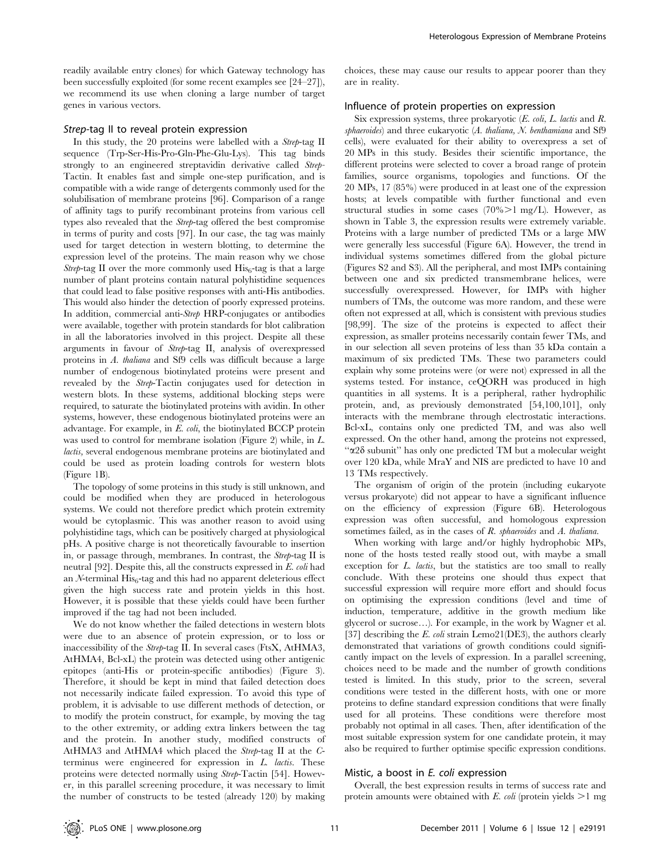readily available entry clones) for which Gateway technology has been successfully exploited (for some recent examples see [24–27]), we recommend its use when cloning a large number of target genes in various vectors.

# Strep-tag II to reveal protein expression

In this study, the 20 proteins were labelled with a Strep-tag II sequence (Trp-Ser-His-Pro-Gln-Phe-Glu-Lys). This tag binds strongly to an engineered streptavidin derivative called Strep-Tactin. It enables fast and simple one-step purification, and is compatible with a wide range of detergents commonly used for the solubilisation of membrane proteins [96]. Comparison of a range of affinity tags to purify recombinant proteins from various cell types also revealed that the Strep-tag offered the best compromise in terms of purity and costs [97]. In our case, the tag was mainly used for target detection in western blotting, to determine the expression level of the proteins. The main reason why we chose Strep-tag II over the more commonly used  $His<sub>6</sub>$ -tag is that a large number of plant proteins contain natural polyhistidine sequences that could lead to false positive responses with anti-His antibodies. This would also hinder the detection of poorly expressed proteins. In addition, commercial anti-Strep HRP-conjugates or antibodies were available, together with protein standards for blot calibration in all the laboratories involved in this project. Despite all these arguments in favour of Strep-tag II, analysis of overexpressed proteins in A. thaliana and Sf9 cells was difficult because a large number of endogenous biotinylated proteins were present and revealed by the Strep-Tactin conjugates used for detection in western blots. In these systems, additional blocking steps were required, to saturate the biotinylated proteins with avidin. In other systems, however, these endogenous biotinylated proteins were an advantage. For example, in E. coli, the biotinylated BCCP protein was used to control for membrane isolation (Figure 2) while, in L. lactis, several endogenous membrane proteins are biotinylated and could be used as protein loading controls for western blots (Figure 1B).

The topology of some proteins in this study is still unknown, and could be modified when they are produced in heterologous systems. We could not therefore predict which protein extremity would be cytoplasmic. This was another reason to avoid using polyhistidine tags, which can be positively charged at physiological pHs. A positive charge is not theoretically favourable to insertion in, or passage through, membranes. In contrast, the Strep-tag II is neutral [92]. Despite this, all the constructs expressed in E. coli had an  $N$ -terminal  $His<sub>6</sub>$ -tag and this had no apparent deleterious effect given the high success rate and protein yields in this host. However, it is possible that these yields could have been further improved if the tag had not been included.

We do not know whether the failed detections in western blots were due to an absence of protein expression, or to loss or inaccessibility of the Strep-tag II. In several cases (FtsX, AtHMA3, AtHMA4, Bcl-xL) the protein was detected using other antigenic epitopes (anti-His or protein-specific antibodies) (Figure 3). Therefore, it should be kept in mind that failed detection does not necessarily indicate failed expression. To avoid this type of problem, it is advisable to use different methods of detection, or to modify the protein construct, for example, by moving the tag to the other extremity, or adding extra linkers between the tag and the protein. In another study, modified constructs of AtHMA3 and AtHMA4 which placed the Strep-tag II at the Cterminus were engineered for expression in L. lactis. These proteins were detected normally using Strep-Tactin [54]. However, in this parallel screening procedure, it was necessary to limit the number of constructs to be tested (already 120) by making

choices, these may cause our results to appear poorer than they are in reality.

#### Influence of protein properties on expression

Six expression systems, three prokaryotic (E. coli, L. lactis and R. sphaeroides) and three eukaryotic (A. thaliana, N. benthamiana and Sf9 cells), were evaluated for their ability to overexpress a set of 20 MPs in this study. Besides their scientific importance, the different proteins were selected to cover a broad range of protein families, source organisms, topologies and functions. Of the 20 MPs, 17 (85%) were produced in at least one of the expression hosts; at levels compatible with further functional and even structural studies in some cases  $(70\% > 1 \text{ mg/L})$ . However, as shown in Table 3, the expression results were extremely variable. Proteins with a large number of predicted TMs or a large MW were generally less successful (Figure 6A). However, the trend in individual systems sometimes differed from the global picture (Figures S2 and S3). All the peripheral, and most IMPs containing between one and six predicted transmembrane helices, were successfully overexpressed. However, for IMPs with higher numbers of TMs, the outcome was more random, and these were often not expressed at all, which is consistent with previous studies [98,99]. The size of the proteins is expected to affect their expression, as smaller proteins necessarily contain fewer TMs, and in our selection all seven proteins of less than 35 kDa contain a maximum of six predicted TMs. These two parameters could explain why some proteins were (or were not) expressed in all the systems tested. For instance, ceQORH was produced in high quantities in all systems. It is a peripheral, rather hydrophilic protein, and, as previously demonstrated [54,100,101], only interacts with the membrane through electrostatic interactions. Bcl-xL, contains only one predicted TM, and was also well expressed. On the other hand, among the proteins not expressed, "α2δ subunit" has only one predicted TM but a molecular weight over 120 kDa, while MraY and NIS are predicted to have 10 and 13 TMs respectively.

The organism of origin of the protein (including eukaryote versus prokaryote) did not appear to have a significant influence on the efficiency of expression (Figure 6B). Heterologous expression was often successful, and homologous expression sometimes failed, as in the cases of R. sphaeroides and A. thaliana.

When working with large and/or highly hydrophobic MPs, none of the hosts tested really stood out, with maybe a small exception for L. lactis, but the statistics are too small to really conclude. With these proteins one should thus expect that successful expression will require more effort and should focus on optimising the expression conditions (level and time of induction, temperature, additive in the growth medium like glycerol or sucrose…). For example, in the work by Wagner et al. [37] describing the E. coli strain Lemo21(DE3), the authors clearly demonstrated that variations of growth conditions could significantly impact on the levels of expression. In a parallel screening, choices need to be made and the number of growth conditions tested is limited. In this study, prior to the screen, several conditions were tested in the different hosts, with one or more proteins to define standard expression conditions that were finally used for all proteins. These conditions were therefore most probably not optimal in all cases. Then, after identification of the most suitable expression system for one candidate protein, it may also be required to further optimise specific expression conditions.

#### Mistic, a boost in E. coli expression

Overall, the best expression results in terms of success rate and protein amounts were obtained with  $E$ . *coli* (protein yields  $>1$  mg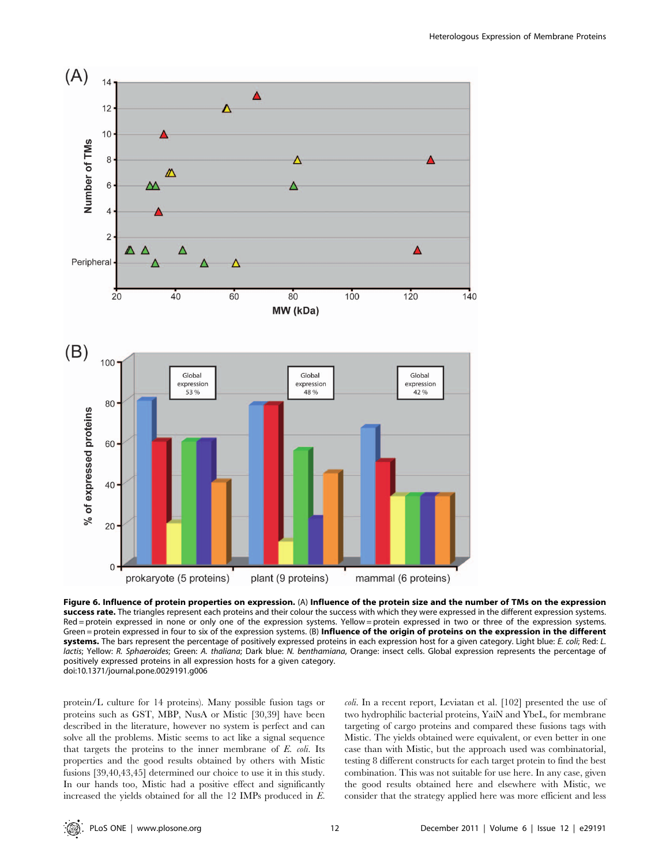

Figure 6. Influence of protein properties on expression. (A) Influence of the protein size and the number of TMs on the expression success rate. The triangles represent each proteins and their colour the success with which they were expressed in the different expression systems. Red = protein expressed in none or only one of the expression systems. Yellow = protein expressed in two or three of the expression systems. Green = protein expressed in four to six of the expression systems. (B) Influence of the origin of proteins on the expression in the different systems. The bars represent the percentage of positively expressed proteins in each expression host for a given category. Light blue: E. coli; Red: L. lactis; Yellow: R. Sphaeroides; Green: A. thaliana; Dark blue: N. benthamiana, Orange: insect cells. Global expression represents the percentage of positively expressed proteins in all expression hosts for a given category. doi:10.1371/journal.pone.0029191.g006

protein/L culture for 14 proteins). Many possible fusion tags or proteins such as GST, MBP, NusA or Mistic [30,39] have been described in the literature, however no system is perfect and can solve all the problems. Mistic seems to act like a signal sequence that targets the proteins to the inner membrane of  $E$ . *coli*. Its properties and the good results obtained by others with Mistic fusions [39,40,43,45] determined our choice to use it in this study. In our hands too, Mistic had a positive effect and significantly increased the yields obtained for all the 12 IMPs produced in E.

coli. In a recent report, Leviatan et al. [102] presented the use of two hydrophilic bacterial proteins, YaiN and YbeL, for membrane targeting of cargo proteins and compared these fusions tags with Mistic. The yields obtained were equivalent, or even better in one case than with Mistic, but the approach used was combinatorial, testing 8 different constructs for each target protein to find the best combination. This was not suitable for use here. In any case, given the good results obtained here and elsewhere with Mistic, we consider that the strategy applied here was more efficient and less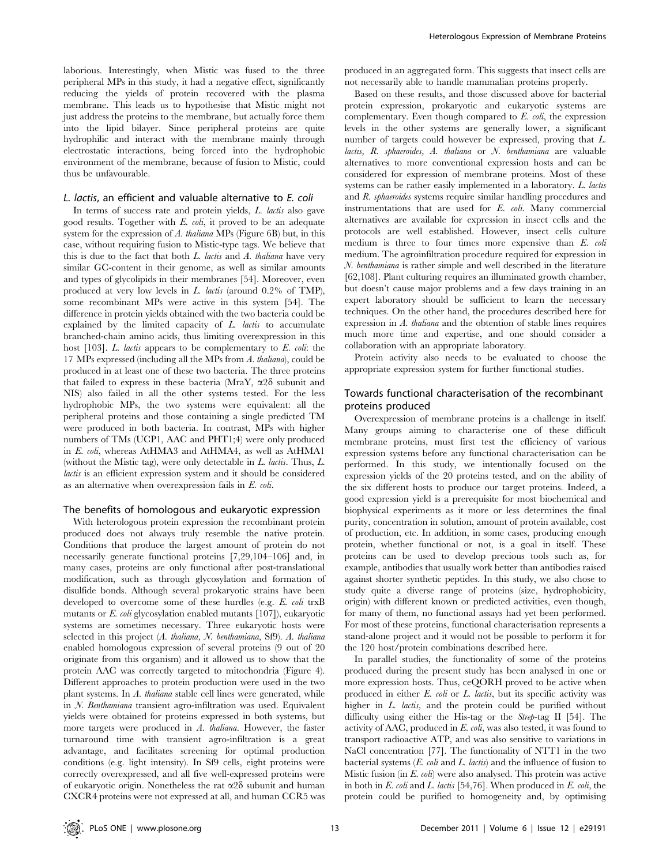laborious. Interestingly, when Mistic was fused to the three peripheral MPs in this study, it had a negative effect, significantly reducing the yields of protein recovered with the plasma membrane. This leads us to hypothesise that Mistic might not just address the proteins to the membrane, but actually force them into the lipid bilayer. Since peripheral proteins are quite hydrophilic and interact with the membrane mainly through electrostatic interactions, being forced into the hydrophobic environment of the membrane, because of fusion to Mistic, could thus be unfavourable.

#### L. lactis, an efficient and valuable alternative to E. coli

In terms of success rate and protein yields, L. lactis also gave good results. Together with E. coli, it proved to be an adequate system for the expression of A. thaliana MPs (Figure 6B) but, in this case, without requiring fusion to Mistic-type tags. We believe that this is due to the fact that both  $L$ . lactis and  $A$ . thaliana have very similar GC-content in their genome, as well as similar amounts and types of glycolipids in their membranes [54]. Moreover, even produced at very low levels in L. lactis (around 0.2% of TMP), some recombinant MPs were active in this system [54]. The difference in protein yields obtained with the two bacteria could be explained by the limited capacity of  $L$ . *lactis* to accumulate branched-chain amino acids, thus limiting overexpression in this host  $[103]$ . L. lactis appears to be complementary to E. coli: the 17 MPs expressed (including all the MPs from A. thaliana), could be produced in at least one of these two bacteria. The three proteins that failed to express in these bacteria (MraY,  $\alpha$ 2 $\delta$  subunit and NIS) also failed in all the other systems tested. For the less hydrophobic MPs, the two systems were equivalent: all the peripheral proteins and those containing a single predicted TM were produced in both bacteria. In contrast, MPs with higher numbers of TMs (UCP1, AAC and PHT1;4) were only produced in E. coli, whereas AtHMA3 and AtHMA4, as well as AtHMA1 (without the Mistic tag), were only detectable in L. lactis. Thus, L. lactis is an efficient expression system and it should be considered as an alternative when overexpression fails in E. coli.

#### The benefits of homologous and eukaryotic expression

With heterologous protein expression the recombinant protein produced does not always truly resemble the native protein. Conditions that produce the largest amount of protein do not necessarily generate functional proteins [7,29,104–106] and, in many cases, proteins are only functional after post-translational modification, such as through glycosylation and formation of disulfide bonds. Although several prokaryotic strains have been developed to overcome some of these hurdles (e.g. E. coli trxB mutants or E. coli glycosylation enabled mutants [107]), eukaryotic systems are sometimes necessary. Three eukaryotic hosts were selected in this project (A. thaliana, N. benthamiana, Sf9). A. thaliana enabled homologous expression of several proteins (9 out of 20 originate from this organism) and it allowed us to show that the protein AAC was correctly targeted to mitochondria (Figure 4). Different approaches to protein production were used in the two plant systems. In A. thaliana stable cell lines were generated, while in N. Benthamiana transient agro-infiltration was used. Equivalent yields were obtained for proteins expressed in both systems, but more targets were produced in A. thaliana. However, the faster turnaround time with transient agro-infiltration is a great advantage, and facilitates screening for optimal production conditions (e.g. light intensity). In Sf9 cells, eight proteins were correctly overexpressed, and all five well-expressed proteins were of eukaryotic origin. Nonetheless the rat  $\alpha$ 28 subunit and human CXCR4 proteins were not expressed at all, and human CCR5 was

produced in an aggregated form. This suggests that insect cells are not necessarily able to handle mammalian proteins properly.

Based on these results, and those discussed above for bacterial protein expression, prokaryotic and eukaryotic systems are complementary. Even though compared to  $E$ .  $\omega h$ , the expression levels in the other systems are generally lower, a significant number of targets could however be expressed, proving that L. lactis, R. sphaeroides, A. thaliana or N. benthamiana are valuable alternatives to more conventional expression hosts and can be considered for expression of membrane proteins. Most of these systems can be rather easily implemented in a laboratory. L. lactis and R. sphaeroides systems require similar handling procedures and instrumentations that are used for E. coli. Many commercial alternatives are available for expression in insect cells and the protocols are well established. However, insect cells culture medium is three to four times more expensive than E. coli medium. The agroinfiltration procedure required for expression in N. benthamiana is rather simple and well described in the literature [62,108]. Plant culturing requires an illuminated growth chamber, but doesn't cause major problems and a few days training in an expert laboratory should be sufficient to learn the necessary techniques. On the other hand, the procedures described here for expression in A. thaliana and the obtention of stable lines requires much more time and expertise, and one should consider a collaboration with an appropriate laboratory.

Protein activity also needs to be evaluated to choose the appropriate expression system for further functional studies.

# Towards functional characterisation of the recombinant proteins produced

Overexpression of membrane proteins is a challenge in itself. Many groups aiming to characterise one of these difficult membrane proteins, must first test the efficiency of various expression systems before any functional characterisation can be performed. In this study, we intentionally focused on the expression yields of the 20 proteins tested, and on the ability of the six different hosts to produce our target proteins. Indeed, a good expression yield is a prerequisite for most biochemical and biophysical experiments as it more or less determines the final purity, concentration in solution, amount of protein available, cost of production, etc. In addition, in some cases, producing enough protein, whether functional or not, is a goal in itself. These proteins can be used to develop precious tools such as, for example, antibodies that usually work better than antibodies raised against shorter synthetic peptides. In this study, we also chose to study quite a diverse range of proteins (size, hydrophobicity, origin) with different known or predicted activities, even though, for many of them, no functional assays had yet been performed. For most of these proteins, functional characterisation represents a stand-alone project and it would not be possible to perform it for the 120 host/protein combinations described here.

In parallel studies, the functionality of some of the proteins produced during the present study has been analysed in one or more expression hosts. Thus, ceQORH proved to be active when produced in either E. coli or L. lactis, but its specific activity was higher in L. lactis, and the protein could be purified without difficulty using either the His-tag or the Strep-tag II [54]. The activity of AAC, produced in E. coli, was also tested, it was found to transport radioactive ATP, and was also sensitive to variations in NaCl concentration [77]. The functionality of NTT1 in the two bacterial systems  $(E. \text{ coli} \text{ and } L. \text{ lactis} )$  and the influence of fusion to Mistic fusion (in E. coli) were also analysed. This protein was active in both in E. coli and L. lactis [54,76]. When produced in E. coli, the protein could be purified to homogeneity and, by optimising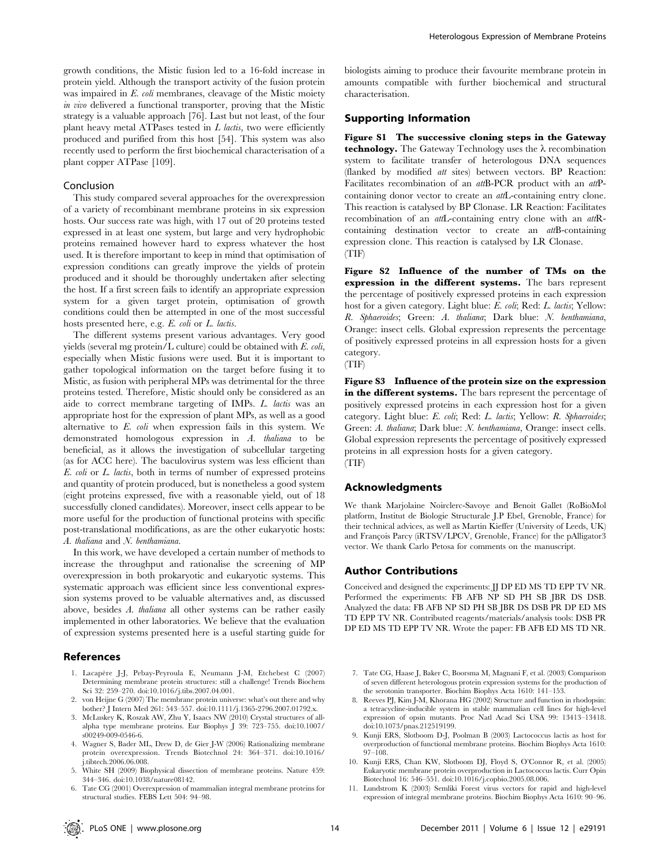growth conditions, the Mistic fusion led to a 16-fold increase in protein yield. Although the transport activity of the fusion protein was impaired in E. coli membranes, cleavage of the Mistic moiety in vivo delivered a functional transporter, proving that the Mistic strategy is a valuable approach [76]. Last but not least, of the four plant heavy metal ATPases tested in  $L$  lactis, two were efficiently produced and purified from this host [54]. This system was also recently used to perform the first biochemical characterisation of a plant copper ATPase [109].

#### Conclusion

This study compared several approaches for the overexpression of a variety of recombinant membrane proteins in six expression hosts. Our success rate was high, with 17 out of 20 proteins tested expressed in at least one system, but large and very hydrophobic proteins remained however hard to express whatever the host used. It is therefore important to keep in mind that optimisation of expression conditions can greatly improve the yields of protein produced and it should be thoroughly undertaken after selecting the host. If a first screen fails to identify an appropriate expression system for a given target protein, optimisation of growth conditions could then be attempted in one of the most successful hosts presented here, e.g. E. coli or L. lactis.

The different systems present various advantages. Very good yields (several mg protein/L culture) could be obtained with E. coli, especially when Mistic fusions were used. But it is important to gather topological information on the target before fusing it to Mistic, as fusion with peripheral MPs was detrimental for the three proteins tested. Therefore, Mistic should only be considered as an aide to correct membrane targeting of IMPs. L. lactis was an appropriate host for the expression of plant MPs, as well as a good alternative to E. coli when expression fails in this system. We demonstrated homologous expression in A. thaliana to be beneficial, as it allows the investigation of subcellular targeting (as for ACC here). The baculovirus system was less efficient than E. coli or L. lactis, both in terms of number of expressed proteins and quantity of protein produced, but is nonetheless a good system (eight proteins expressed, five with a reasonable yield, out of 18 successfully cloned candidates). Moreover, insect cells appear to be more useful for the production of functional proteins with specific post-translational modifications, as are the other eukaryotic hosts: A. thaliana and N. benthamiana.

In this work, we have developed a certain number of methods to increase the throughput and rationalise the screening of MP overexpression in both prokaryotic and eukaryotic systems. This systematic approach was efficient since less conventional expression systems proved to be valuable alternatives and, as discussed above, besides A. thaliana all other systems can be rather easily implemented in other laboratories. We believe that the evaluation of expression systems presented here is a useful starting guide for

#### References

- 1. Lacapère J-J, Pebay-Peyroula E, Neumann J-M, Etchebest C (2007) Determining membrane protein structures: still a challenge! Trends Biochem Sci 32: 259–270. doi:10.1016/j.tibs.2007.04.001.
- von Heijne G (2007) The membrane protein universe: what's out there and why bother? J Intern Med 261: 543–557. doi:10.1111/j.1365-2796.2007.01792.x.
- 3. McLuskey K, Roszak AW, Zhu Y, Isaacs NW (2010) Crystal structures of allalpha type membrane proteins. Eur Biophys J 39: 723–755. doi:10.1007/ s00249-009-0546-6.
- 4. Wagner S, Bader ML, Drew D, de Gier J-W (2006) Rationalizing membrane protein overexpression. Trends Biotechnol 24: 364–371. doi:10.1016/ j.tibtech.2006.06.008.
- 5. White SH (2009) Biophysical dissection of membrane proteins. Nature 459: 344–346. doi:10.1038/nature08142.
- 6. Tate CG (2001) Overexpression of mammalian integral membrane proteins for structural studies. FEBS Lett 504: 94–98.

biologists aiming to produce their favourite membrane protein in amounts compatible with further biochemical and structural characterisation.

# Supporting Information

Figure S1 The successive cloning steps in the Gateway technology. The Gateway Technology uses the  $\lambda$  recombination system to facilitate transfer of heterologous DNA sequences (flanked by modified att sites) between vectors. BP Reaction: Facilitates recombination of an attB-PCR product with an attPcontaining donor vector to create an attL-containing entry clone. This reaction is catalysed by BP Clonase. LR Reaction: Facilitates recombination of an *att*L-containing entry clone with an *att*Rcontaining destination vector to create an attB-containing expression clone. This reaction is catalysed by LR Clonase. (TIF)

Figure S2 Influence of the number of TMs on the expression in the different systems. The bars represent the percentage of positively expressed proteins in each expression host for a given category. Light blue: E. coli; Red: L. lactis; Yellow: R. Sphaeroides; Green: A. thaliana; Dark blue: N. benthamiana, Orange: insect cells. Global expression represents the percentage of positively expressed proteins in all expression hosts for a given category.



Figure S3 Influence of the protein size on the expression in the different systems. The bars represent the percentage of positively expressed proteins in each expression host for a given category. Light blue: E. coli; Red: L. lactis; Yellow: R. Sphaeroides; Green: A. thaliana; Dark blue: N. benthamiana, Orange: insect cells. Global expression represents the percentage of positively expressed proteins in all expression hosts for a given category. (TIF)

# Acknowledgments

We thank Marjolaine Noirclerc-Savoye and Benoit Gallet (RoBioMol platform, Institut de Biologie Structurale J.P Ebel, Grenoble, France) for their technical advices, as well as Martin Kieffer (University of Leeds, UK) and François Parcy (iRTSV/LPCV, Grenoble, France) for the pAlligator3 vector. We thank Carlo Petosa for comments on the manuscript.

# Author Contributions

Conceived and designed the experiments: JJ DP ED MS TD EPP TV NR. Performed the experiments: FB AFB NP SD PH SB JBR DS DSB. Analyzed the data: FB AFB NP SD PH SB JBR DS DSB PR DP ED MS TD EPP TV NR. Contributed reagents/materials/analysis tools: DSB PR DP ED MS TD EPP TV NR. Wrote the paper: FB AFB ED MS TD NR.

- 7. Tate CG, Haase J, Baker C, Boorsma M, Magnani F, et al. (2003) Comparison of seven different heterologous protein expression systems for the production of the serotonin transporter. Biochim Biophys Acta 1610: 141–153.
- 8. Reeves PJ, Kim J-M, Khorana HG (2002) Structure and function in rhodopsin: a tetracycline-inducible system in stable mammalian cell lines for high-level expression of opsin mutants. Proc Natl Acad Sci USA 99: 13413–13418. doi:10.1073/pnas.212519199.
- 9. Kunji ERS, Slotboom D-J, Poolman B (2003) Lactococcus lactis as host for overproduction of functional membrane proteins. Biochim Biophys Acta 1610: 97–108.
- 10. Kunji ERS, Chan KW, Slotboom DJ, Floyd S, O'Connor R, et al. (2005) Eukaryotic membrane protein overproduction in Lactococcus lactis. Curr Opin Biotechnol 16: 546–551. doi:10.1016/j.copbio.2005.08.006.
- 11. Lundstrom K (2003) Semliki Forest virus vectors for rapid and high-level expression of integral membrane proteins. Biochim Biophys Acta 1610: 90–96.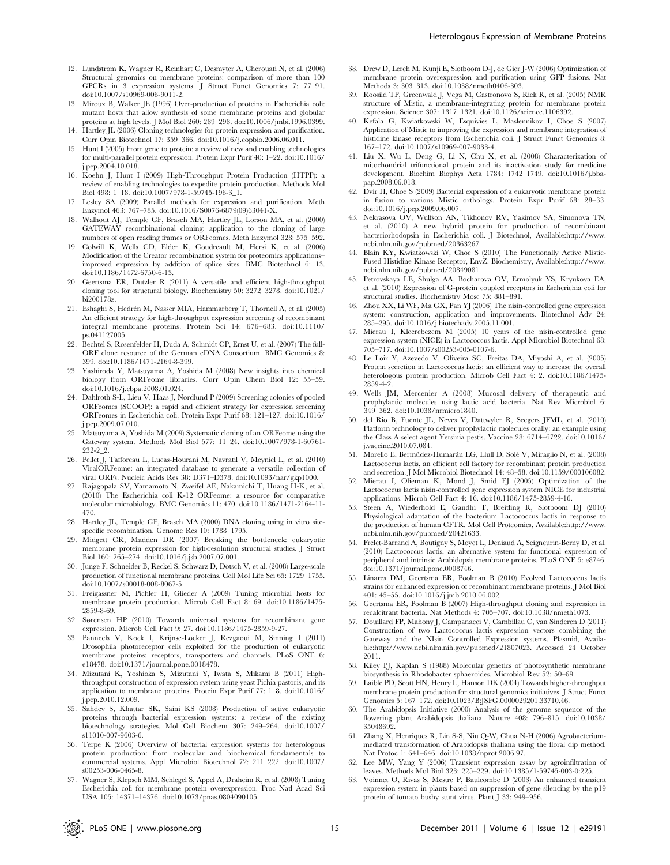- 12. Lundstrom K, Wagner R, Reinhart C, Desmyter A, Cherouati N, et al. (2006) Structural genomics on membrane proteins: comparison of more than 100 GPCRs in 3 expression systems. J Struct Funct Genomics 7: 77–91. doi:10.1007/s10969-006-9011-2.
- 13. Miroux B, Walker JE (1996) Over-production of proteins in Escherichia coli: mutant hosts that allow synthesis of some membrane proteins and globular proteins at high levels. J Mol Biol 260: 289–298. doi:10.1006/jmbi.1996.0399.
- 14. Hartley JL (2006) Cloning technologies for protein expression and purification. Curr Opin Biotechnol 17: 359–366. doi:10.1016/j.copbio.2006.06.011.
- 15. Hunt I (2005) From gene to protein: a review of new and enabling technologies for multi-parallel protein expression. Protein Expr Purif 40: 1–22. doi:10.1016/ j.pep.2004.10.018.
- 16. Koehn J, Hunt I (2009) High-Throughput Protein Production (HTPP): a review of enabling technologies to expedite protein production. Methods Mol Biol 498: 1–18. doi:10.1007/978-1-59745-196-3\_1.
- 17. Lesley SA (2009) Parallel methods for expression and purification. Meth Enzymol 463: 767–785. doi:10.1016/S0076-6879(09)63041-X.
- 18. Walhout AJ, Temple GF, Brasch MA, Hartley JL, Lorson MA, et al. (2000) GATEWAY recombinational cloning: application to the cloning of large numbers of open reading frames or ORFeomes. Meth Enzymol 328: 575–592.
- 19. Colwill K, Wells CD, Elder K, Goudreault M, Hersi K, et al. (2006) Modification of the Creator recombination system for proteomics applications– improved expression by addition of splice sites. BMC Biotechnol 6: 13. doi:10.1186/1472-6750-6-13.
- 20. Geertsma ER, Dutzler R (2011) A versatile and efficient high-throughput cloning tool for structural biology. Biochemistry 50: 3272–3278. doi:10.1021/ bi200178z.
- 21. Eshaghi S, Hedrén M, Nasser MIA, Hammarberg T, Thornell A, et al. (2005) An efficient strategy for high-throughput expression screening of recombinant integral membrane proteins. Protein Sci 14: 676–683. doi:10.1110/ ps.041127005.
- 22. Bechtel S, Rosenfelder H, Duda A, Schmidt CP, Ernst U, et al. (2007) The full-ORF clone resource of the German cDNA Consortium. BMC Genomics 8: 399. doi:10.1186/1471-2164-8-399.
- 23. Yashiroda Y, Matsuyama A, Yoshida M (2008) New insights into chemical biology from ORFeome libraries. Curr Opin Chem Biol 12: 55–59. doi:10.1016/j.cbpa.2008.01.024.
- 24. Dahlroth S-L, Lieu V, Haas J, Nordlund P (2009) Screening colonies of pooled ORFeomes (SCOOP): a rapid and efficient strategy for expression screening ORFeomes in Escherichia coli. Protein Expr Purif 68: 121–127. doi:10.1016/ j.pep.2009.07.010.
- 25. Matsuyama A, Yoshida M (2009) Systematic cloning of an ORFeome using the Gateway system. Methods Mol Biol 577: 11–24. doi:10.1007/978-1-60761- 232-2\_2.
- 26. Pellet J, Tafforeau L, Lucas-Hourani M, Navratil V, Meyniel L, et al. (2010) ViralORFeome: an integrated database to generate a versatile collection of viral ORFs. Nucleic Acids Res 38: D371–D378. doi:10.1093/nar/gkp1000.
- 27. Rajagopala SV, Yamamoto N, Zweifel AE, Nakamichi T, Huang H-K, et al. (2010) The Escherichia coli K-12 ORFeome: a resource for comparative molecular microbiology. BMC Genomics 11: 470. doi:10.1186/1471-2164-11- 470.
- 28. Hartley JL, Temple GF, Brasch MA (2000) DNA cloning using in vitro sitespecific recombination. Genome Res 10: 1788–1795.
- 29. Midgett CR, Madden DR (2007) Breaking the bottleneck: eukaryotic membrane protein expression for high-resolution structural studies. J Struct Biol 160: 265–274. doi:10.1016/j.jsb.2007.07.001.
- 30. Junge F, Schneider B, Reckel S, Schwarz D, Dötsch V, et al. (2008) Large-scale production of functional membrane proteins. Cell Mol Life Sci 65: 1729–1755. doi:10.1007/s00018-008-8067-5.
- 31. Freigassner M, Pichler H, Glieder A (2009) Tuning microbial hosts for membrane protein production. Microb Cell Fact 8: 69. doi:10.1186/1475- 2859-8-69.
- 32. Sørensen HP (2010) Towards universal systems for recombinant gene expression. Microb Cell Fact 9: 27. doi:10.1186/1475-2859-9-27.
- 33. Panneels V, Kock I, Krijnse-Locker J, Rezgaoui M, Sinning I (2011) Drosophila photoreceptor cells exploited for the production of eukaryotic membrane proteins: receptors, transporters and channels. PLoS ONE 6: e18478. doi:10.1371/journal.pone.0018478.
- 34. Mizutani K, Yoshioka S, Mizutani Y, Iwata S, Mikami B (2011) Highthroughput construction of expression system using yeast Pichia pastoris, and its application to membrane proteins. Protein Expr Purif 77: 1–8. doi:10.1016/ j.pep.2010.12.009.
- 35. Sahdev S, Khattar SK, Saini KS (2008) Production of active eukaryotic proteins through bacterial expression systems: a review of the existing biotechnology strategies. Mol Cell Biochem 307: 249–264. doi:10.1007/ s11010-007-9603-6.
- 36. Terpe K (2006) Overview of bacterial expression systems for heterologous protein production: from molecular and biochemical fundamentals to commercial systems. Appl Microbiol Biotechnol 72: 211–222. doi:10.1007/ s00253-006-0465-8.
- 37. Wagner S, Klepsch MM, Schlegel S, Appel A, Draheim R, et al. (2008) Tuning Escherichia coli for membrane protein overexpression. Proc Natl Acad Sci USA 105: 14371–14376. doi:10.1073/pnas.0804090105.
- 38. Drew D, Lerch M, Kunji E, Slotboom D-J, de Gier J-W (2006) Optimization of membrane protein overexpression and purification using GFP fusions. Nat Methods 3: 303–313. doi:10.1038/nmeth0406-303.
- 39. Roosild TP, Greenwald J, Vega M, Castronovo S, Riek R, et al. (2005) NMR structure of Mistic, a membrane-integrating protein for membrane protein expression. Science 307: 1317–1321. doi:10.1126/science.1106392.
- 40. Kefala G, Kwiatkowski W, Esquivies L, Maslennikov I, Choe S (2007) Application of Mistic to improving the expression and membrane integration of histidine kinase receptors from Escherichia coli. J Struct Funct Genomics 8: 167–172. doi:10.1007/s10969-007-9033-4.
- 41. Liu X, Wu L, Deng G, Li N, Chu X, et al. (2008) Characterization of mitochondrial trifunctional protein and its inactivation study for medicine development. Biochim Biophys Acta 1784: 1742–1749. doi:10.1016/j.bbapap.2008.06.018.
- 42. Dvir H, Choe S (2009) Bacterial expression of a eukaryotic membrane protein in fusion to various Mistic orthologs. Protein Expr Purif 68: 28–33. doi:10.1016/j.pep.2009.06.007.
- 43. Nekrasova OV, Wulfson AN, Tikhonov RV, Yakimov SA, Simonova TN, et al. (2010) A new hybrid protein for production of recombinant bacteriorhodopsin in Escherichia coli. J Biotechnol, Available:http://www. ncbi.nlm.nih.gov/pubmed/20363267.
- 44. Blain KY, Kwiatkowski W, Choe S (2010) The Functionally Active Mistic-Fused Histidine Kinase Receptor, EnvZ. Biochemistry, Available:http://www. ncbi.nlm.nih.gov/pubmed/20849081.
- 45. Petrovskaya LE, Shulga AA, Bocharova OV, Ermolyuk YS, Kryukova EA, et al. (2010) Expression of G-protein coupled receptors in Escherichia coli for structural studies. Biochemistry Mosc 75: 881–891.
- 46. Zhou XX, Li WF, Ma GX, Pan YJ (2006) The nisin-controlled gene expression system: construction, application and improvements. Biotechnol Adv 24: 285–295. doi:10.1016/j.biotechadv.2005.11.001.
- 47. Mierau I, Kleerebezem M (2005) 10 years of the nisin-controlled gene expression system (NICE) in Lactococcus lactis. Appl Microbiol Biotechnol 68: 705–717. doi:10.1007/s00253-005-0107-6.
- 48. Le Loir Y, Azevedo V, Oliveira SC, Freitas DA, Miyoshi A, et al. (2005) Protein secretion in Lactococcus lactis: an efficient way to increase the overall heterologous protein production. Microb Cell Fact 4: 2. doi:10.1186/1475- 2859-4-2.
- 49. Wells JM, Mercenier A (2008) Mucosal delivery of therapeutic and prophylactic molecules using lactic acid bacteria. Nat Rev Microbiol 6: 349–362. doi:10.1038/nrmicro1840.
- 50. del Rio B, Fuente JL, Neves V, Dattwyler R, Seegers JFML, et al. (2010) Platform technology to deliver prophylactic molecules orally: an example using the Class A select agent Yersinia pestis. Vaccine 28: 6714–6722. doi:10.1016/ j.vaccine.2010.07.084.
- 51. Morello E, Bermúdez-Humarán LG, Llull D, Solé V, Miraglio N, et al. (2008) Lactococcus lactis, an efficient cell factory for recombinant protein production and secretion. J Mol Microbiol Biotechnol 14: 48–58. doi:10.1159/000106082.
- 52. Mierau I, Olieman K, Mond J, Smid EJ (2005) Optimization of the Lactococcus lactis nisin-controlled gene expression system NICE for industrial applications. Microb Cell Fact 4: 16. doi:10.1186/1475-2859-4-16.
- 53. Steen A, Wiederhold E, Gandhi T, Breitling R, Slotboom DJ (2010) Physiological adaptation of the bacterium Lactococcus lactis in response to the production of human CFTR. Mol Cell Proteomics, Available:http://www. ncbi.nlm.nih.gov/pubmed/20421633.
- 54. Frelet-Barrand A, Boutigny S, Moyet L, Deniaud A, Seigneurin-Berny D, et al. (2010) Lactococcus lactis, an alternative system for functional expression of peripheral and intrinsic Arabidopsis membrane proteins. PLoS ONE 5: e8746. doi:10.1371/journal.pone.0008746.
- 55. Linares DM, Geertsma ER, Poolman B (2010) Evolved Lactococcus lactis strains for enhanced expression of recombinant membrane proteins. J Mol Biol 401: 45–55. doi:10.1016/j.jmb.2010.06.002.
- 56. Geertsma ER, Poolman B (2007) High-throughput cloning and expression in recalcitrant bacteria. Nat Methods 4: 705–707. doi:10.1038/nmeth1073.
- 57. Douillard FP, Mahony J, Campanacci V, Cambillau C, van Sinderen D (2011) Construction of two Lactococcus lactis expression vectors combining the Gateway and the NIsin Controlled Expression systems. Plasmid, Available:http://www.ncbi.nlm.nih.gov/pubmed/21807023. Accessed 24 October 2011.
- 58. Kiley PJ, Kaplan S (1988) Molecular genetics of photosynthetic membrane biosynthesis in Rhodobacter sphaeroides. Microbiol Rev 52: 50–69.
- 59. Laible PD, Scott HN, Henry L, Hanson DK (2004) Towards higher-throughput membrane protein production for structural genomics initiatives. J Struct Funct Genomics 5: 167–172. doi:10.1023/B:JSFG.0000029201.33710.46.
- 60. The Arabidopsis Initiative (2000) Analysis of the genome sequence of the flowering plant Arabidopsis thaliana. Nature 408: 796–815. doi:10.1038/ 35048692.
- 61. Zhang X, Henriques R, Lin S-S, Niu Q-W, Chua N-H (2006) Agrobacteriummediated transformation of Arabidopsis thaliana using the floral dip method. Nat Protoc 1: 641–646. doi:10.1038/nprot.2006.97.
- 62. Lee MW, Yang Y (2006) Transient expression assay by agroinfiltration of leaves. Methods Mol Biol 323: 225–229. doi:10.1385/1-59745-003-0:225.
- 63. Voinnet O, Rivas S, Mestre P, Baulcombe D (2003) An enhanced transient expression system in plants based on suppression of gene silencing by the p19 protein of tomato bushy stunt virus. Plant J 33: 949–956.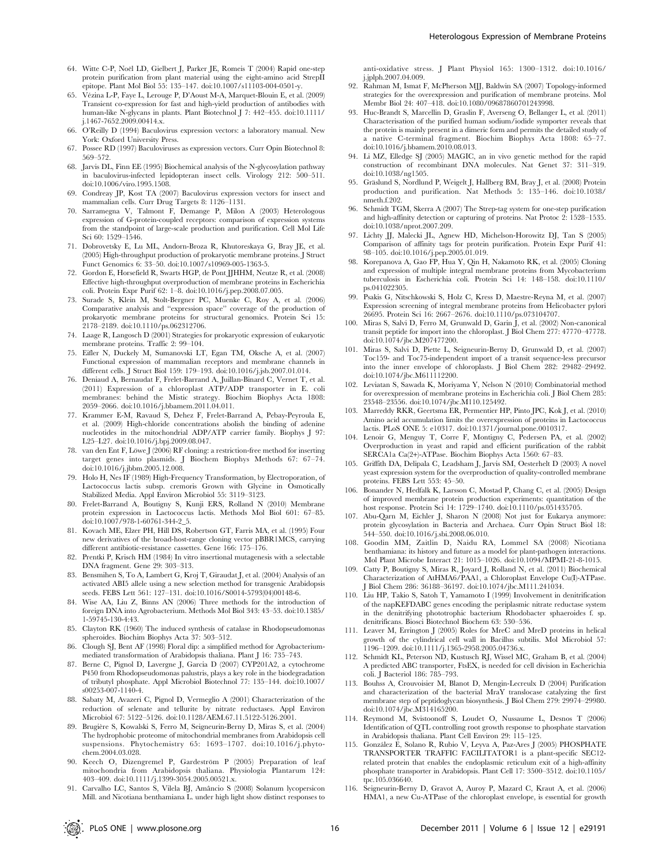- 64. Witte C-P, Noël LD, Gielbert J, Parker JE, Romeis T (2004) Rapid one-step protein purification from plant material using the eight-amino acid StrepII epitope. Plant Mol Biol 55: 135–147. doi:10.1007/s11103-004-0501-y.
- 65. Vézina L-P, Faye L, Lerouge P, D'Aoust M-A, Marquet-Blouin E, et al. (2009) Transient co-expression for fast and high-yield production of antibodies with human-like N-glycans in plants. Plant Biotechnol J 7: 442–455. doi:10.1111/ j.1467-7652.2009.00414.x.
- 66. O'Reilly D (1994) Baculovirus expression vectors: a laboratory manual. New York: Oxford University Press.
- 67. Possee RD (1997) Baculoviruses as expression vectors. Curr Opin Biotechnol 8: 569–572.
- 68. Jarvis DL, Finn EE (1995) Biochemical analysis of the N-glycosylation pathway in baculovirus-infected lepidopteran insect cells. Virology 212: 500–511. doi:10.1006/viro.1995.1508.
- 69. Condreay JP, Kost TA (2007) Baculovirus expression vectors for insect and mammalian cells. Curr Drug Targets 8: 1126–1131.
- 70. Sarramegna V, Talmont F, Demange P, Milon A (2003) Heterologous expression of G-protein-coupled receptors: comparison of expression systems from the standpoint of large-scale production and purification. Cell Mol Life Sci 60: 1529–1546.
- 71. Dobrovetsky E, Lu ML, Andorn-Broza R, Khutoreskaya G, Bray JE, et al. (2005) High-throughput production of prokaryotic membrane proteins. J Struct Funct Genomics 6: 33–50. doi:10.1007/s10969-005-1363-5.
- 72. Gordon E, Horsefield R, Swarts HGP, de Pont JJHHM, Neutze R, et al. (2008) Effective high-throughput overproduction of membrane proteins in Escherichia coli. Protein Expr Purif 62: 1–8. doi:10.1016/j.pep.2008.07.005.
- 73. Surade S, Klein M, Stolt-Bergner PC, Muenke C, Roy A, et al. (2006) Comparative analysis and ''expression space'' coverage of the production of prokaryotic membrane proteins for structural genomics. Protein Sci 15:  $2178 - 2189$ . doi:10.1110/ps.062312706.
- 74. Laage R, Langosch D (2001) Strategies for prokaryotic expression of eukaryotic membrane proteins. Traffic 2: 99–104.
- 75. Eifler N, Duckely M, Sumanovski LT, Egan TM, Oksche A, et al. (2007) Functional expression of mammalian receptors and membrane channels in different cells. J Struct Biol 159: 179–193. doi:10.1016/j.jsb.2007.01.014.
- 76. Deniaud A, Bernaudat F, Frelet-Barrand A, Juillan-Binard C, Vernet T, et al. (2011) Expression of a chloroplast ATP/ADP transporter in E. coli membranes: behind the Mistic strategy. Biochim Biophys Acta 1808: 2059–2066. doi:10.1016/j.bbamem.2011.04.011.
- 77. Krammer E-M, Ravaud S, Dehez F, Frelet-Barrand A, Pebay-Peyroula E, et al. (2009) High-chloride concentrations abolish the binding of adenine nucleotides in the mitochondrial ADP/ATP carrier family. Biophys J 97: L25–L27. doi:10.1016/j.bpj.2009.08.047.
- 78. van den Ent F, Löwe J (2006) RF cloning: a restriction-free method for inserting target genes into plasmids. J Biochem Biophys Methods 67: 67–74. doi:10.1016/j.jbbm.2005.12.008.
- 79. Holo H, Nes IF (1989) High-Frequency Transformation, by Electroporation, of Lactococcus lactis subsp. cremoris Grown with Glycine in Osmotically Stabilized Media. Appl Environ Microbiol 55: 3119–3123.
- 80. Frelet-Barrand A, Boutigny S, Kunji ERS, Rolland N (2010) Membrane protein expression in Lactococcus lactis. Methods Mol Biol 601: 67–85. doi:10.1007/978-1-60761-344-2\_5.
- 81. Kovach ME, Elzer PH, Hill DS, Robertson GT, Farris MA, et al. (1995) Four new derivatives of the broad-host-range cloning vector pBBR1MCS, carrying different antibiotic-resistance cassettes. Gene 166: 175–176.
- 82. Prentki P, Krisch HM (1984) In vitro insertional mutagenesis with a selectable DNA fragment. Gene 29: 303–313.
- 83. Bensmihen S, To A, Lambert G, Kroj T, Giraudat J, et al. (2004) Analysis of an activated ABI5 allele using a new selection method for transgenic Arabidopsis seeds. FEBS Lett 561: 127–131. doi:10.1016/S0014-5793(04)00148-6.
- 84. Wise AA, Liu Z, Binns AN (2006) Three methods for the introduction of foreign DNA into Agrobacterium. Methods Mol Biol 343: 43–53. doi:10.1385/ 1-59745-130-4:43.
- 85. Clayton RK (1960) The induced synthesis of catalase in Rhodopseudomonas spheroides. Biochim Biophys Acta 37: 503–512.
- 86. Clough SJ, Bent AF (1998) Floral dip: a simplified method for Agrobacterium-mediated transformation of Arabidopsis thaliana. Plant J 16: 735–743.
- 87. Berne C, Pignol D, Lavergne J, Garcia D (2007) CYP201A2, a cytochrome P450 from Rhodopseudomonas palustris, plays a key role in the biodegradation of tributyl phosphate. Appl Microbiol Biotechnol 77: 135–144. doi:10.1007/ s00253-007-1140-4.
- 88. Sabaty M, Avazeri C, Pignol D, Vermeglio A (2001) Characterization of the reduction of selenate and tellurite by nitrate reductases. Appl Environ Microbiol 67: 5122–5126. doi:10.1128/AEM.67.11.5122-5126.2001.
- Brugière S, Kowalski S, Ferro M, Seigneurin-Berny D, Miras S, et al. (2004) The hydrophobic proteome of mitochondrial membranes from Arabidopsis cell suspensions. Phytochemistry 65: 1693–1707. doi:10.1016/j.phytochem.2004.03.028.
- 90. Keech O, Dizengremel P, Gardeström P (2005) Preparation of leaf mitochondria from Arabidopsis thaliana. Physiologia Plantarum 124: 403–409. doi:10.1111/j.1399-3054.2005.00521.x.
- 91. Carvalho LC, Santos S, Vilela BJ, Amâncio S (2008) Solanum lycopersicon Mill. and Nicotiana benthamiana L. under high light show distinct responses to

anti-oxidative stress. J Plant Physiol 165: 1300–1312. doi:10.1016/ j.jplph.2007.04.009.

- 92. Rahman M, Ismat F, McPherson MJJ, Baldwin SA (2007) Topology-informed strategies for the overexpression and purification of membrane proteins. Mol Membr Biol 24: 407–418. doi:10.1080/09687860701243998.
- 93. Huc-Brandt S, Marcellin D, Graslin F, Averseng O, Bellanger L, et al. (2011) Characterisation of the purified human sodium/iodide symporter reveals that the protein is mainly present in a dimeric form and permits the detailed study of a native C-terminal fragment. Biochim Biophys Acta 1808: 65–77. doi:10.1016/j.bbamem.2010.08.013.
- 94. Li MZ, Elledge SJ (2005) MAGIC, an in vivo genetic method for the rapid construction of recombinant DNA molecules. Nat Genet 37: 311–319. doi:10.1038/ng1505.
- 95. Gräslund S, Nordlund P, Weigelt J, Hallberg BM, Bray J, et al. (2008) Protein production and purification. Nat Methods 5: 135–146. doi:10.1038/ nmeth.f.202.
- 96. Schmidt TGM, Skerra A (2007) The Strep-tag system for one-step purification and high-affinity detection or capturing of proteins. Nat Protoc 2: 1528–1535. doi:10.1038/nprot.2007.209.
- 97. Lichty JJ, Malecki JL, Agnew HD, Michelson-Horowitz DJ, Tan S (2005) Comparison of affinity tags for protein purification. Protein Expr Purif 41: 98–105. doi:10.1016/j.pep.2005.01.019.
- 98. Korepanova A, Gao FP, Hua Y, Qin H, Nakamoto RK, et al. (2005) Cloning and expression of multiple integral membrane proteins from Mycobacterium tuberculosis in Escherichia coli. Protein Sci 14: 148–158. doi:10.1110/ ps.041022305.
- Psakis G, Nitschkowski S, Holz C, Kress D, Maestre-Reyna M, et al. (2007) Expression screening of integral membrane proteins from Helicobacter pylori 26695. Protein Sci 16: 2667–2676. doi:10.1110/ps.073104707.
- 100. Miras S, Salvi D, Ferro M, Grunwald D, Garin J, et al. (2002) Non-canonical transit peptide for import into the chloroplast. J Biol Chem 277: 47770–47778. doi:10.1074/jbc.M207477200.
- 101. Miras S, Salvi D, Piette L, Seigneurin-Berny D, Grunwald D, et al. (2007) Toc159- and Toc75-independent import of a transit sequence-less precursor into the inner envelope of chloroplasts. J Biol Chem 282: 29482–29492. doi:10.1074/jbc.M611112200.
- 102. Leviatan S, Sawada K, Moriyama Y, Nelson N (2010) Combinatorial method for overexpression of membrane proteins in Escherichia coli. J Biol Chem 285: 23548–23556. doi:10.1074/jbc.M110.125492.
- 103. Marreddy RKR, Geertsma ER, Permentier HP, Pinto JPC, Kok J, et al. (2010) Amino acid accumulation limits the overexpression of proteins in Lactococcus lactis. PLoS ONE 5: e10317. doi:10.1371/journal.pone.0010317.
- 104. Lenoir G, Menguy T, Corre F, Montigny C, Pedersen PA, et al. (2002) Overproduction in yeast and rapid and efficient purification of the rabbit SERCA1a Ca(2+)-ATPase. Biochim Biophys Acta 1560: 67–83.
- 105. Griffith DA, Delipala C, Leadsham J, Jarvis SM, Oesterhelt D (2003) A novel yeast expression system for the overproduction of quality-controlled membrane proteins. FEBS Lett 553: 45–50.
- 106. Bonander N, Hedfalk K, Larsson C, Mostad P, Chang C, et al. (2005) Design of improved membrane protein production experiments: quantitation of the host response. Protein Sci 14: 1729–1740. doi:10.1110/ps.051435705.
- 107. Abu-Qarn M, Eichler J, Sharon N (2008) Not just for Eukarya anymore: protein glycosylation in Bacteria and Archaea. Curr Opin Struct Biol 18: 544–550. doi:10.1016/j.sbi.2008.06.010.
- 108. Goodin MM, Zaitlin D, Naidu RA, Lommel SA (2008) Nicotiana benthamiana: its history and future as a model for plant-pathogen interactions. Mol Plant Microbe Interact 21: 1015–1026. doi:10.1094/MPMI-21-8-1015.
- 109. Catty P, Boutigny S, Miras R, Joyard J, Rolland N, et al. (2011) Biochemical Characterization of AtHMA6/PAA1, a Chloroplast Envelope Cu(I)-ATPase. J Biol Chem 286: 36188–36197. doi:10.1074/jbc.M111.241034.
- 110. Liu HP, Takio S, Satoh T, Yamamoto I (1999) Involvement in denitrification of the napKEFDABC genes encoding the periplasmic nitrate reductase system in the denitrifying phototrophic bacterium Rhodobacter sphaeroides f. sp. denitrificans. Biosci Biotechnol Biochem 63: 530–536.
- 111. Leaver M, Errington J (2005) Roles for MreC and MreD proteins in helical growth of the cylindrical cell wall in Bacillus subtilis. Mol Microbiol 57: 1196–1209. doi:10.1111/j.1365-2958.2005.04736.x.
- 112. Schmidt KL, Peterson ND, Kustusch RJ, Wissel MC, Graham B, et al. (2004) A predicted ABC transporter, FtsEX, is needed for cell division in Escherichia coli. J Bacteriol 186: 785–793.
- 113. Bouhss A, Crouvoisier M, Blanot D, Mengin-Lecreulx D (2004) Purification and characterization of the bacterial MraY translocase catalyzing the first membrane step of peptidoglycan biosynthesis. J Biol Chem 279: 29974–29980. doi:10.1074/jbc.M314165200.
- 114. Reymond M, Svistoonoff S, Loudet O, Nussaume L, Desnos T (2006) Identification of QTL controlling root growth response to phosphate starvation in Arabidopsis thaliana. Plant Cell Environ 29: 115–125.
- 115. González E, Solano R, Rubio V, Leyva A, Paz-Ares J $(2005)$ PHOSPHATE TRANSPORTER TRAFFIC FACILITATOR1 is a plant-specific SEC12 related protein that enables the endoplasmic reticulum exit of a high-affinity phosphate transporter in Arabidopsis. Plant Cell 17: 3500–3512. doi:10.1105/ tpc.105.036640.
- 116. Seigneurin-Berny D, Gravot A, Auroy P, Mazard C, Kraut A, et al. (2006) HMA1, a new Cu-ATPase of the chloroplast envelope, is essential for growth